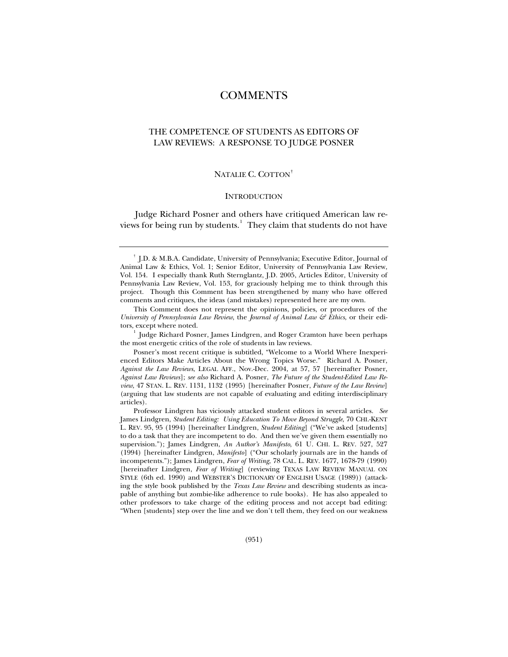# **COMMENTS**

## THE COMPETENCE OF STUDENTS AS EDITORS OF LAW REVIEWS: A RESPONSE TO JUDGE POSNER

## NATALIE C. COTTON[†](#page-0-0)

#### **INTRODUCTION**

Judge Richard Posner and others have critiqued American law reviews for being run by students. $^1$  $^1$  They claim that students do not have

<span id="page-0-1"></span>Judge Richard Posner, James Lindgren, and Roger Cramton have been perhaps the most energetic critics of the role of students in law reviews.

 Posner's most recent critique is subtitled, "Welcome to a World Where Inexperienced Editors Make Articles About the Wrong Topics Worse." Richard A. Posner, *Against the Law Reviews*, LEGAL AFF., Nov.-Dec. 2004, at 57, 57 [hereinafter Posner, *Against Law Reviews*]; *see also* Richard A. Posner, *The Future of the Student-Edited Law Review*, 47 STAN. L. REV. 1131, 1132 (1995) [hereinafter Posner, *Future of the Law Review*] (arguing that law students are not capable of evaluating and editing interdisciplinary articles).

<span id="page-0-0"></span><sup>†</sup> J.D. & M.B.A. Candidate, University of Pennsylvania; Executive Editor, Journal of Animal Law & Ethics, Vol. 1; Senior Editor, University of Pennsylvania Law Review, Vol. 154. I especially thank Ruth Sternglantz, J.D. 2005, Articles Editor, University of Pennsylvania Law Review, Vol. 153, for graciously helping me to think through this project. Though this Comment has been strengthened by many who have offered comments and critiques, the ideas (and mistakes) represented here are my own.

This Comment does not represent the opinions, policies, or procedures of the *University of Pennsylvania Law Review*, the *Journal of Animal Law & Ethics*, or their editors, except where noted.

Professor Lindgren has viciously attacked student editors in several articles. *See* James Lindgren, *Student Editing: Using Education To Move Beyond Struggle*, 70 CHI.-KENT L. REV. 95, 95 (1994) [hereinafter Lindgren, *Student Editing*] ("We've asked [students] to do a task that they are incompetent to do. And then we've given them essentially no supervision."); James Lindgren, *An Author's Manifesto*, 61 U. CHI. L. REV. 527, 527 (1994) [hereinafter Lindgren, *Manifesto*] ("Our scholarly journals are in the hands of incompetents."); James Lindgren, *Fear of Writing*, 78 CAL. L. REV. 1677, 1678-79 (1990) [hereinafter Lindgren, *Fear of Writing*] (reviewing TEXAS LAW REVIEW MANUAL ON STYLE (6th ed. 1990) and WEBSTER'S DICTIONARY OF ENGLISH USAGE (1989)) (attacking the style book published by the *Texas Law Review* and describing students as incapable of anything but zombie-like adherence to rule books). He has also appealed to other professors to take charge of the editing process and not accept bad editing: "When [students] step over the line and we don't tell them, they feed on our weakness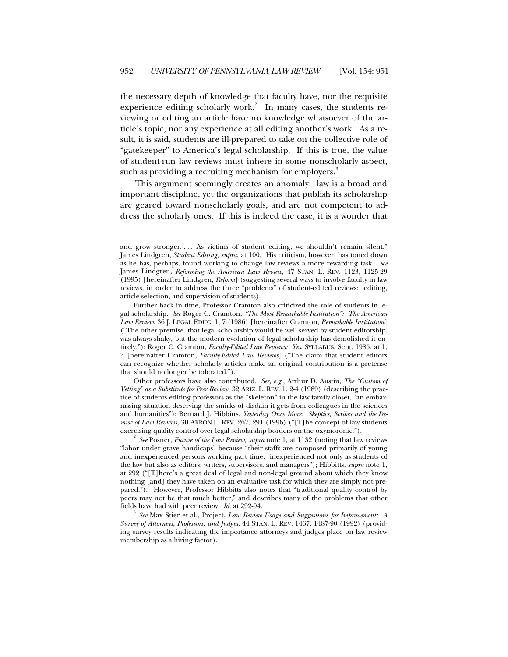the necessary depth of knowledge that faculty have, nor the requisite experience editing scholarly work.<sup>2</sup> In many cases, the students reviewing or editing an article have no knowledge whatsoever of the article's topic, nor any experience at all editing another's work. As a result, it is said, students are ill-prepared to take on the collective role of "gatekeeper" to America's legal scholarship. If this is true, the value of student-run law reviews must inhere in some nonscholarly aspect, such as providing a recruiting mechanism for employers.<sup>3</sup>

This argument seemingly creates an anomaly: law is a broad and important discipline, yet the organizations that publish its scholarship are geared toward nonscholarly goals, and are not competent to address the scholarly ones. If this is indeed the case, it is a wonder that

 Other professors have also contributed. *See, e.g.*, Arthur D. Austin, *The "Custom of Vetting" as a Substitute for Peer Review*, 32 ARIZ. L. REV. 1, 2-4 (1989) (describing the practice of students editing professors as the "skeleton" in the law family closet, "an embarrassing situation deserving the smirks of disdain it gets from colleagues in the sciences and humanities"); Bernard J. Hibbitts, *Yesterday Once More: Skeptics, Scribes and the Demise of Law Reviews*, 30 AKRON L. REV. 267, 291 (1996) ("[T]he concept of law students exercising quality control over legal scholarship borders on the oxymoronic.").

2 *See* Posner, *Future of the Law Review, supra* note 1, at 1132 (noting that law reviews "labor under grave handicaps" because "their staffs are composed primarily of young and inexperienced persons working part time: inexperienced not only as students of the law but also as editors, writers, supervisors, and managers"); Hibbitts, *supra* note 1, at 292 ("[T]here's a great deal of legal and non-legal ground about which they know nothing [and] they have taken on an evaluative task for which they are simply not prepared."). However, Professor Hibbitts also notes that "traditional quality control by peers may not be that much better," and describes many of the problems that other fields have had with peer review. *Id.* at 292-94.

*See* Max Stier et al., Project, *Law Review Usage and Suggestions for Improvement: A Survey of Attorneys, Professors, and Judges*, 44 STAN. L. REV. 1467, 1487-90 (1992) (providing survey results indicating the importance attorneys and judges place on law review membership as a hiring factor).

and grow stronger. . . . As victims of student editing, we shouldn't remain silent." James Lindgren, *Student Editing*, *supra*, at 100. His criticism, however, has toned down as he has, perhaps, found working to change law reviews a more rewarding task. *See* James Lindgren, *Reforming the American Law Review*, 47 STAN. L. REV. 1123, 1125-29 (1995) [hereinafter Lindgren, *Reform*] (suggesting several ways to involve faculty in law reviews, in order to address the three "problems" of student-edited reviews: editing, article selection, and supervision of students).

Further back in time, Professor Cramton also criticized the role of students in legal scholarship. *See* Roger C. Cramton, *"The Most Remarkable Institution": The American Law Review*, 36 J. LEGAL EDUC. 1, 7 (1986) [hereinafter Cramton, *Remarkable Institution*] ("The other premise, that legal scholarship would be well served by student editorship, was always shaky, but the modern evolution of legal scholarship has demolished it entirely."); Roger C. Cramton, *Faculty-Edited Law Reviews: Yes*, SYLLABUS, Sept. 1985, at 1, 3 [hereinafter Cramton, *Faculty-Edited Law Reviews*] ("The claim that student editors can recognize whether scholarly articles make an original contribution is a pretense that should no longer be tolerated.").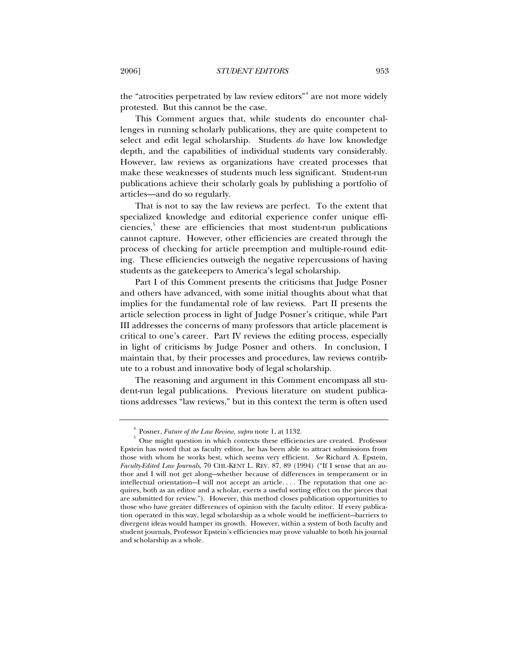the "atrocities perpetrated by law review editors"<sup>[4](#page-2-0)</sup> are not more widely protested. But this cannot be the case.

This Comment argues that, while students do encounter challenges in running scholarly publications, they are quite competent to select and edit legal scholarship. Students *do* have low knowledge depth, and the capabilities of individual students vary considerably. However, law reviews as organizations have created processes that make these weaknesses of students much less significant. Student-run publications achieve their scholarly goals by publishing a portfolio of articles—and do so regularly.

That is not to say the law reviews are perfect. To the extent that specialized knowledge and editorial experience confer unique effi-ciencies,<sup>[5](#page-2-1)</sup> these are efficiencies that most student-run publications cannot capture. However, other efficiencies are created through the process of checking for article preemption and multiple-round editing. These efficiencies outweigh the negative repercussions of having students as the gatekeepers to America's legal scholarship.

Part I of this Comment presents the criticisms that Judge Posner and others have advanced, with some initial thoughts about what that implies for the fundamental role of law reviews. Part II presents the article selection process in light of Judge Posner's critique, while Part III addresses the concerns of many professors that article placement is critical to one's career. Part IV reviews the editing process, especially in light of criticisms by Judge Posner and others. In conclusion, I maintain that, by their processes and procedures, law reviews contribute to a robust and innovative body of legal scholarship.

The reasoning and argument in this Comment encompass all student-run legal publications. Previous literature on student publications addresses "law reviews," but in this context the term is often used

<sup>&</sup>lt;sup>4</sup> Posner, Future of the Law Review, supra note 1, at 1132.

<span id="page-2-1"></span><span id="page-2-0"></span><sup>&</sup>lt;sup>5</sup> One might question in which contexts these efficiencies are created. Professor Epstein has noted that as faculty editor, he has been able to attract submissions from those with whom he works best, which seems very efficient. *See* Richard A. Epstein, *Faculty-Edited Law Journals*, 70 CHI.-KENT L. REV. 87, 89 (1994) ("If I sense that an author and I will not get along–-whether because of differences in temperament or in intellectual orientation–I will not accept an article. . . . The reputation that one acquires, both as an editor and a scholar, exerts a useful sorting effect on the pieces that are submitted for review."). However, this method closes publication opportunities to those who have greater differences of opinion with the faculty editor. If every publication operated in this way, legal scholarship as a whole would be inefficient-barriers to divergent ideas would hamper its growth. However, within a system of both faculty and student journals, Professor Epstein's efficiencies may prove valuable to both his journal and scholarship as a whole.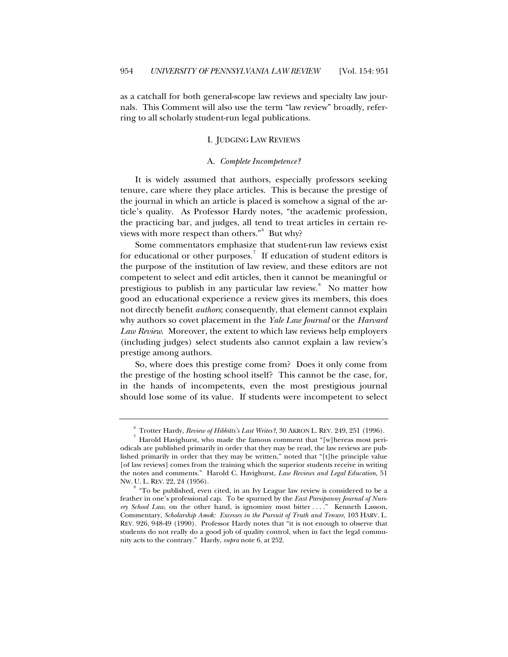as a catchall for both general-scope law reviews and specialty law journals. This Comment will also use the term "law review" broadly, referring to all scholarly student-run legal publications.

#### I. JUDGING LAW REVIEWS

#### A. *Complete Incompetence?*

It is widely assumed that authors, especially professors seeking tenure, care where they place articles. This is because the prestige of the journal in which an article is placed is somehow a signal of the article's quality. As Professor Hardy notes, "the academic profession, the practicing bar, and judges, all tend to treat articles in certain re-views with more respect than others."<sup>[6](#page-3-0)</sup> But why?

Some commentators emphasize that student-run law reviews exist for educational or other purposes.<sup>[7](#page-3-1)</sup> If education of student editors is the purpose of the institution of law review, and these editors are not competent to select and edit articles, then it cannot be meaningful or prestigious to publish in any particular law review.<sup>[8](#page-3-2)</sup> No matter how good an educational experience a review gives its members, this does not directly benefit *authors*; consequently, that element cannot explain why authors so covet placement in the *Yale Law Journal* or the *Harvard Law Review*. Moreover, the extent to which law reviews help employers (including judges) select students also cannot explain a law review's prestige among authors.

So, where does this prestige come from? Does it only come from the prestige of the hosting school itself? This cannot be the case, for, in the hands of incompetents, even the most prestigious journal should lose some of its value. If students were incompetent to select

<sup>6</sup> Trotter Hardy, *Review of Hibbitts's Last Writes?*, 30 AKRON L. REV. 249, 251 (1996). <sup>7</sup>

<span id="page-3-1"></span><span id="page-3-0"></span> $\frac{7}{1}$  Harold Havighurst, who made the famous comment that "[w]hereas most periodicals are published primarily in order that they may be read, the law reviews are published primarily in order that they may be written," noted that "[t]he principle value [of law reviews] comes from the training which the superior students receive in writing the notes and comments." Harold C. Havighurst, *Law Reviews and Legal Education*, 51 NW. U. L. REV. 22, 24 (1956).

<span id="page-3-2"></span><sup>&</sup>lt;sup>8</sup> "To be published, even cited, in an Ivy League law review is considered to be a feather in one's professional cap. To be spurned by the *East Parsipanny Journal of Nursery School Law*, on the other hand, is ignominy most bitter . . . ." Kenneth Lasson, Commentary, *Scholarship Amok: Excesses in the Pursuit of Truth and Tenure*, 103 HARV. L. REV. 926, 948-49 (1990). Professor Hardy notes that "it is not enough to observe that students do not really do a good job of quality control, when in fact the legal community acts to the contrary." Hardy, *supra* note 6, at 252.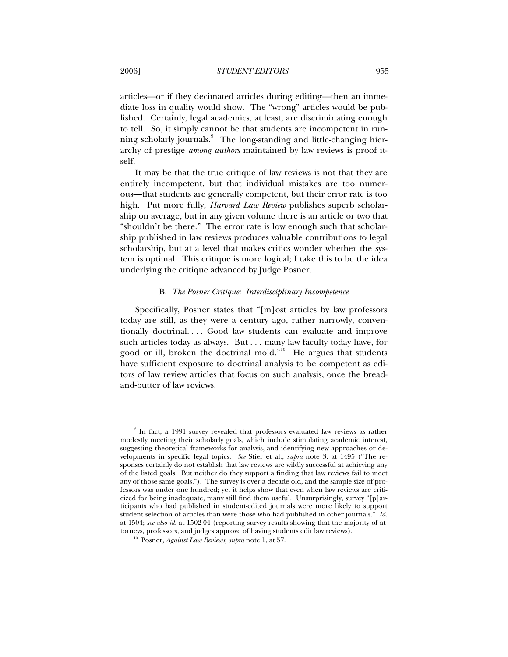articles—or if they decimated articles during editing—then an immediate loss in quality would show. The "wrong" articles would be published. Certainly, legal academics, at least, are discriminating enough to tell. So, it simply cannot be that students are incompetent in run-ning scholarly journals.<sup>[9](#page-4-0)</sup> The long-standing and little-changing hierarchy of prestige *among authors* maintained by law reviews is proof itself.

It may be that the true critique of law reviews is not that they are entirely incompetent, but that individual mistakes are too numerous—that students are generally competent, but their error rate is too high. Put more fully, *Harvard Law Review* publishes superb scholarship on average, but in any given volume there is an article or two that "shouldn't be there." The error rate is low enough such that scholarship published in law reviews produces valuable contributions to legal scholarship, but at a level that makes critics wonder whether the system is optimal. This critique is more logical; I take this to be the idea underlying the critique advanced by Judge Posner.

### B. *The Posner Critique: Interdisciplinary Incompetence*

Specifically, Posner states that "[m]ost articles by law professors today are still, as they were a century ago, rather narrowly, conventionally doctrinal. . . . Good law students can evaluate and improve such articles today as always. But . . . many law faculty today have, for good or ill, broken the doctrinal mold."<sup>[10](#page-4-1)</sup> He argues that students have sufficient exposure to doctrinal analysis to be competent as editors of law review articles that focus on such analysis, once the breadand-butter of law reviews.

<span id="page-4-0"></span><sup>&</sup>lt;sup>9</sup> In fact, a 1991 survey revealed that professors evaluated law reviews as rather modestly meeting their scholarly goals, which include stimulating academic interest, suggesting theoretical frameworks for analysis, and identifying new approaches or developments in specific legal topics. *See* Stier et al., *supra* note 3, at 1495 ("The responses certainly do not establish that law reviews are wildly successful at achieving any of the listed goals. But neither do they support a finding that law reviews fail to meet any of those same goals."). The survey is over a decade old, and the sample size of professors was under one hundred; yet it helps show that even when law reviews are criticized for being inadequate, many still find them useful. Unsurprisingly, survey "[p]articipants who had published in student-edited journals were more likely to support student selection of articles than were those who had published in other journals." *Id.* at 1504; *see also id.* at 1502-04 (reporting survey results showing that the majority of attorneys, professors, and judges approve of having students edit law reviews).

<span id="page-4-1"></span><sup>10</sup> Posner, *Against Law Reviews*, *supra* note 1, at 57.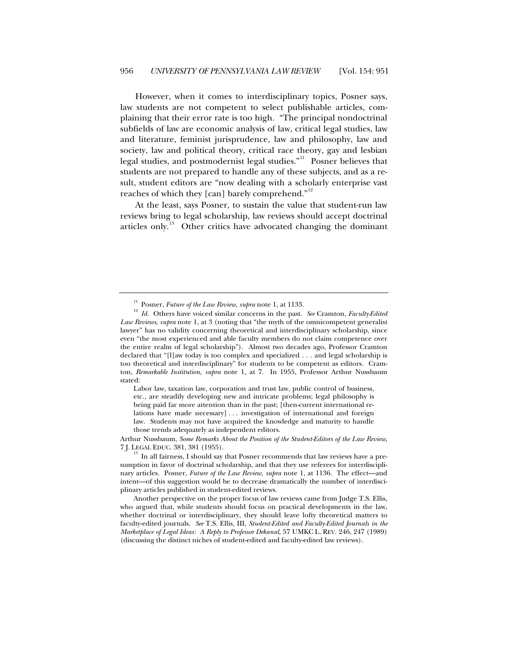However, when it comes to interdisciplinary topics, Posner says, law students are not competent to select publishable articles, complaining that their error rate is too high. "The principal nondoctrinal subfields of law are economic analysis of law, critical legal studies, law and literature, feminist jurisprudence, law and philosophy, law and society, law and political theory, critical race theory, gay and lesbian legal studies, and postmodernist legal studies." $11$  Posner believes that students are not prepared to handle any of these subjects, and as a result, student editors are "now dealing with a scholarly enterprise vast reaches of which they [can] barely comprehend."<sup>[12](#page-5-1)</sup>

At the least, says Posner, to sustain the value that student-run law reviews bring to legal scholarship, law reviews should accept doctrinal articles only.<sup>[13](#page-5-2)</sup> Other critics have advocated changing the dominant

<span id="page-5-1"></span><span id="page-5-0"></span><sup>&</sup>lt;sup>11</sup> Posner, *Future of the Law Review, supra* note 1, at 1133.<br><sup>12</sup> *Id.* Others have voiced similar concerns in the past. *See* Cramton, *Faculty-Edited Law Reviews*, *supra* note 1, at 3 (noting that "the myth of the omnicompetent generalist lawyer" has no validity concerning theoretical and interdisciplinary scholarship, since even "the most experienced and able faculty members do not claim competence over the entire realm of legal scholarship"). Almost two decades ago, Professor Cramton declared that "[l]aw today is too complex and specialized . . . and legal scholarship is too theoretical and interdisciplinary" for students to be competent as editors. Cramton, *Remarkable Institution*, *supra* note 1, at 7. In 1955, Professor Arthur Nussbaum stated:

Labor law, taxation law, corporation and trust law, public control of business, etc., are steadily developing new and intricate problems; legal philosophy is being paid far more attention than in the past; [then-current international relations have made necessary] . . . investigation of international and foreign law. Students may not have acquired the knowledge and maturity to handle those trends adequately as independent editors.

Arthur Nussbaum, *Some Remarks About the Position of the Student-Editors of the Law Review*, 7 J. LEGAL EDUC. 381, 381 (1955).

<span id="page-5-2"></span> $^{13}$  In all fairness, I should say that Posner recommends that law reviews have a presumption in favor of doctrinal scholarship, and that they use referees for interdisciplinary articles. Posner, *Future of the Law Review, supra* note 1, at 1136. The effect—and intent—of this suggestion would be to decrease dramatically the number of interdisciplinary articles published in student-edited reviews.

Another perspective on the proper focus of law reviews came from Judge T.S. Ellis, who argued that, while students should focus on practical developments in the law, whether doctrinal or interdisciplinary, they should leave lofty theoretical matters to faculty-edited journals. *See* T.S. Ellis, III, *Student-Edited and Faculty-Edited Journals in the Marketplace of Legal Ideas: A Reply to Professor Dekanal*, 57 UMKC L. REV. 246, 247 (1989) (discussing the distinct niches of student-edited and faculty-edited law reviews).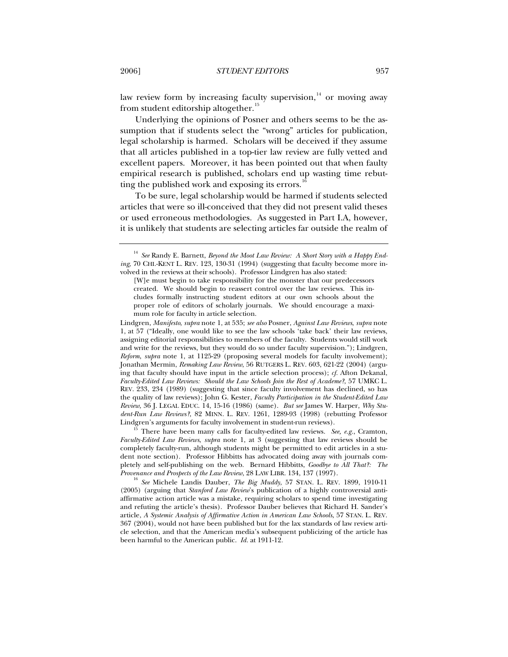law review form by increasing faculty supervision, $14$  or moving away from student editorship altogether.<sup>[15](#page-6-1)</sup>

Underlying the opinions of Posner and others seems to be the assumption that if students select the "wrong" articles for publication, legal scholarship is harmed. Scholars will be deceived if they assume that all articles published in a top-tier law review are fully vetted and excellent papers. Moreover, it has been pointed out that when faulty empirical research is published, scholars end up wasting time rebutting the published work and exposing its errors.<sup>1</sup>

To be sure, legal scholarship would be harmed if students selected articles that were so ill-conceived that they did not present valid theses or used erroneous methodologies. As suggested in Part I.A, however, it is unlikely that students are selecting articles far outside the realm of

Lindgren, *Manifesto*, *supra* note 1, at 535; *see also* Posner, *Against Law Reviews*, *supra* note 1, at 57 ("Ideally, one would like to see the law schools 'take back' their law reviews, assigning editorial responsibilities to members of the faculty. Students would still work and write for the reviews, but they would do so under faculty supervision."); Lindgren, *Reform*, *supra* note 1, at 1125-29 (proposing several models for faculty involvement); Jonathan Mermin, *Remaking Law Review*, 56 RUTGERS L. REV. 603, 621-22 (2004) (arguing that faculty should have input in the article selection process); *cf.* Afton Dekanal, *Faculty-Edited Law Reviews: Should the Law Schools Join the Rest of Academe?*, 57 UMKC L. REV. 233, 234 (1989) (suggesting that since faculty involvement has declined, so has the quality of law reviews); John G. Kester, *Faculty Participation in the Student-Edited Law Review*, 36 J. LEGAL EDUC. 14, 15-16 (1986) (same). *But see* James W. Harper, *Why Student-Run Law Reviews?*, 82 MINN. L. REV. 1261, 1289-93 (1998) (rebutting Professor Lindgren's arguments for faculty involvement in student-run reviews).

<span id="page-6-1"></span><sup>15</sup> There have been many calls for faculty-edited law reviews. *See, e.g.*, Cramton, *Faculty-Edited Law Reviews*, *supra* note 1, at 3 (suggesting that law reviews should be completely faculty-run, although students might be permitted to edit articles in a student note section). Professor Hibbitts has advocated doing away with journals completely and self-publishing on the web. Bernard Hibbitts, *Goodbye to All That?: The Provenance and Prospects of the Law Review*, 28 LAW LIBR. 134, 137 (1997). <sup>16</sup> *See* Michele Landis Dauber, *The Big Muddy*, 57 STAN. L. REV. 1899, 1910-11

<span id="page-6-0"></span><sup>14</sup> *See* Randy E. Barnett, *Beyond the Moot Law Review: A Short Story with a Happy Ending*, 70 CHI.-KENT L. REV. 123, 130-31 (1994) (suggesting that faculty become more involved in the reviews at their schools). Professor Lindgren has also stated:

<sup>[</sup>W]e must begin to take responsibility for the monster that our predecessors created. We should begin to reassert control over the law reviews. This includes formally instructing student editors at our own schools about the proper role of editors of scholarly journals. We should encourage a maximum role for faculty in article selection.

<span id="page-6-2"></span><sup>(2005) (</sup>arguing that *Stanford Law Review*'s publication of a highly controversial antiaffirmative action article was a mistake, requiring scholars to spend time investigating and refuting the article's thesis). Professor Dauber believes that Richard H. Sander's article, *A Systemic Analysis of Affirmative Action in American Law Schools*, 57 STAN. L. REV. 367 (2004), would not have been published but for the lax standards of law review article selection, and that the American media's subsequent publicizing of the article has been harmful to the American public. *Id.* at 1911-12.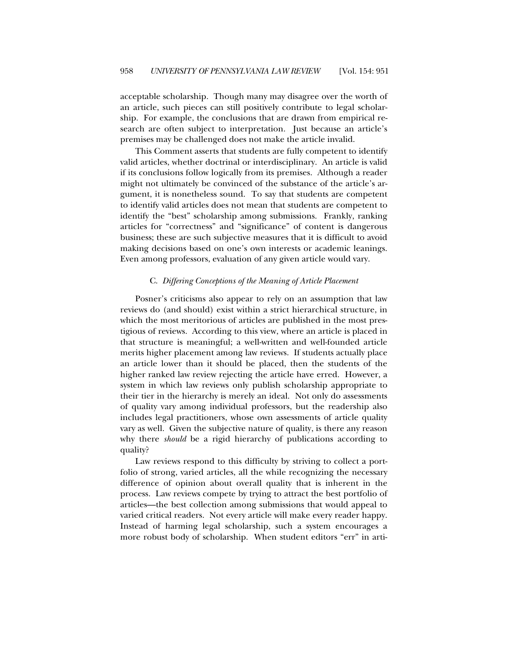acceptable scholarship. Though many may disagree over the worth of an article, such pieces can still positively contribute to legal scholarship. For example, the conclusions that are drawn from empirical research are often subject to interpretation. Just because an article's premises may be challenged does not make the article invalid.

This Comment asserts that students are fully competent to identify valid articles, whether doctrinal or interdisciplinary. An article is valid if its conclusions follow logically from its premises. Although a reader might not ultimately be convinced of the substance of the article's argument, it is nonetheless sound. To say that students are competent to identify valid articles does not mean that students are competent to identify the "best" scholarship among submissions. Frankly, ranking articles for "correctness" and "significance" of content is dangerous business; these are such subjective measures that it is difficult to avoid making decisions based on one's own interests or academic leanings. Even among professors, evaluation of any given article would vary.

#### C. *Differing Conceptions of the Meaning of Article Placement*

Posner's criticisms also appear to rely on an assumption that law reviews do (and should) exist within a strict hierarchical structure, in which the most meritorious of articles are published in the most prestigious of reviews. According to this view, where an article is placed in that structure is meaningful; a well-written and well-founded article merits higher placement among law reviews. If students actually place an article lower than it should be placed, then the students of the higher ranked law review rejecting the article have erred. However, a system in which law reviews only publish scholarship appropriate to their tier in the hierarchy is merely an ideal. Not only do assessments of quality vary among individual professors, but the readership also includes legal practitioners, whose own assessments of article quality vary as well. Given the subjective nature of quality, is there any reason why there *should* be a rigid hierarchy of publications according to quality?

Law reviews respond to this difficulty by striving to collect a portfolio of strong, varied articles, all the while recognizing the necessary difference of opinion about overall quality that is inherent in the process. Law reviews compete by trying to attract the best portfolio of articles—the best collection among submissions that would appeal to varied critical readers. Not every article will make every reader happy. Instead of harming legal scholarship, such a system encourages a more robust body of scholarship. When student editors "err" in arti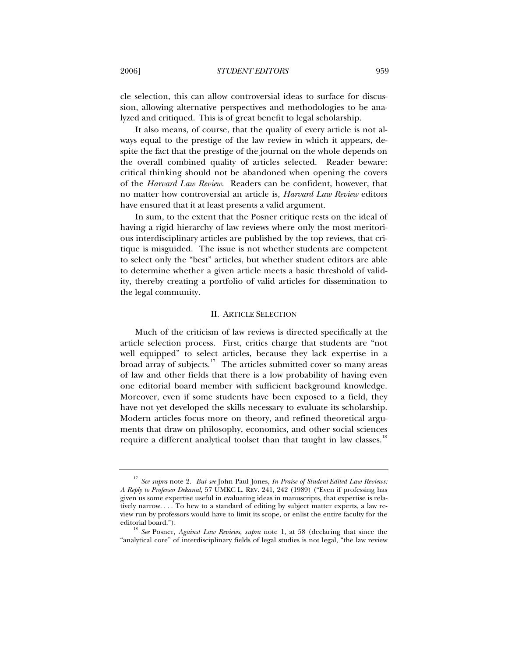cle selection, this can allow controversial ideas to surface for discussion, allowing alternative perspectives and methodologies to be analyzed and critiqued. This is of great benefit to legal scholarship.

It also means, of course, that the quality of every article is not always equal to the prestige of the law review in which it appears, despite the fact that the prestige of the journal on the whole depends on the overall combined quality of articles selected. Reader beware: critical thinking should not be abandoned when opening the covers of the *Harvard Law Review*. Readers can be confident, however, that no matter how controversial an article is, *Harvard Law Review* editors have ensured that it at least presents a valid argument.

In sum, to the extent that the Posner critique rests on the ideal of having a rigid hierarchy of law reviews where only the most meritorious interdisciplinary articles are published by the top reviews, that critique is misguided. The issue is not whether students are competent to select only the "best" articles, but whether student editors are able to determine whether a given article meets a basic threshold of validity, thereby creating a portfolio of valid articles for dissemination to the legal community.

### II. ARTICLE SELECTION

Much of the criticism of law reviews is directed specifically at the article selection process. First, critics charge that students are "not well equipped" to select articles, because they lack expertise in a broad array of subjects. $17$  The articles submitted cover so many areas of law and other fields that there is a low probability of having even one editorial board member with sufficient background knowledge. Moreover, even if some students have been exposed to a field, they have not yet developed the skills necessary to evaluate its scholarship. Modern articles focus more on theory, and refined theoretical arguments that draw on philosophy, economics, and other social sciences require a different analytical toolset than that taught in law classes.<sup>[18](#page-8-1)</sup>

<span id="page-8-0"></span><sup>17</sup> *See supra* note 2. *But see* John Paul Jones, *In Praise of Student-Edited Law Reviews: A Reply to Professor Dekanal*, 57 UMKC L. REV. 241, 242 (1989) ("Even if professing has given us some expertise useful in evaluating ideas in manuscripts, that expertise is relatively narrow. . . . To hew to a standard of editing by subject matter experts, a law review run by professors would have to limit its scope, or enlist the entire faculty for the editorial board.").

<span id="page-8-1"></span><sup>18</sup> *See* Posner, *Against Law Reviews*, *supra* note 1, at 58 (declaring that since the "analytical core" of interdisciplinary fields of legal studies is not legal, "the law review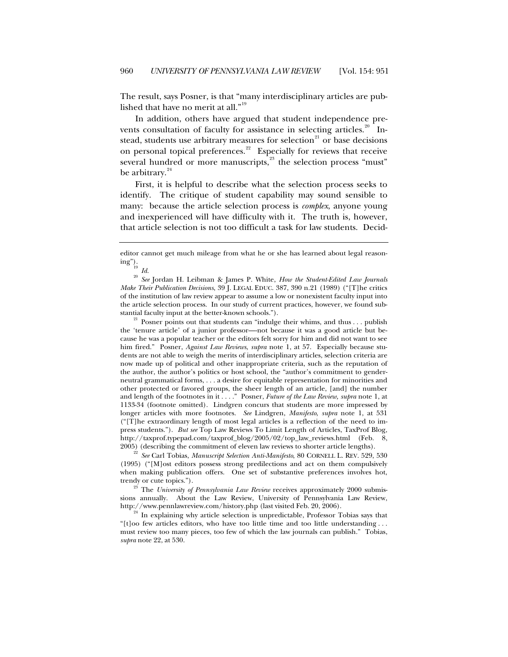The result, says Posner, is that "many interdisciplinary articles are pub-lished that have no merit at all."<sup>[19](#page-9-0)</sup>

In addition, others have argued that student independence pre-vents consultation of faculty for assistance in selecting articles.<sup>[20](#page-9-1)</sup> Instead, students use arbitrary measures for selection $21$  or base decisions on personal topical preferences. $22$  Especially for reviews that receive several hundred or more manuscripts,<sup>[23](#page-9-4)</sup> the selection process "must" be arbitrary.<sup>[24](#page-9-5)</sup>

First, it is helpful to describe what the selection process seeks to identify. The critique of student capability may sound sensible to many: because the article selection process is *complex*, anyone young and inexperienced will have difficulty with it. The truth is, however, that article selection is not too difficult a task for law students. Decid-

<span id="page-9-2"></span><sup>21</sup> Posner points out that students can "indulge their whims, and thus  $\dots$  publish the 'tenure article' of a junior professor—-not because it was a good article but because he was a popular teacher or the editors felt sorry for him and did not want to see him fired." Posner, *Against Law Reviews*, *supra* note 1, at 57. Especially because students are not able to weigh the merits of interdisciplinary articles, selection criteria are now made up of political and other inappropriate criteria, such as the reputation of the author, the author's politics or host school, the "author's commitment to genderneutral grammatical forms, . . . a desire for equitable representation for minorities and other protected or favored groups, the sheer length of an article, [and] the number and length of the footnotes in it . . . ." Posner, *Future of the Law Review, supra* note 1, at 1133-34 (footnote omitted). Lindgren concurs that students are more impressed by longer articles with more footnotes. *See* Lindgren, *Manifesto*, *supra* note 1, at 531 ("[T]he extraordinary length of most legal articles is a reflection of the need to impress students."). *But see* Top Law Reviews To Limit Length of Articles, TaxProf Blog, http://taxprof.typepad.com/taxprof\_blog/2005/02/top\_law\_reviews.html (Feb. 2005) (describing the commitment of eleven law reviews to shorter article lengths).

<span id="page-9-3"></span>2005) (describing the commitment of eleven law reviews to shorter article lengths). 22 *See* Carl Tobias, *Manuscript Selection Anti-Manifesto*, 80 CORNELL L. REV. 529, 530 (1995) ("[M]ost editors possess strong predilections and act on them compulsively when making publication offers. One set of substantive preferences involves hot, trendy or cute topics.").

<span id="page-9-4"></span><sup>23</sup> The *University of Pennsylvania Law Review* receives approximately 2000 submissions annually. About the Law Review, University of Pennsylvania Law Review, http://www.pennlawreview.com/history.php (last visited Feb. 20, 2006).

<span id="page-9-5"></span> $h^2$  In explaining why article selection is unpredictable, Professor Tobias says that "[t]oo few articles editors, who have too little time and too little understanding . . . must review too many pieces, too few of which the law journals can publish." Tobias, *supra* note 22, at 530.

<span id="page-9-0"></span>editor cannot get much mileage from what he or she has learned about legal reason- $\lim_{a \to 0} \frac{1}{19}$  *Id.* 

<span id="page-9-1"></span><sup>&</sup>lt;sup>20</sup> *See* Jordan H. Leibman & James P. White, *How the Student-Edited Law Journals Make Their Publication Decisions*, 39 J. LEGAL EDUC. 387, 390 n.21 (1989) ("[T]he critics of the institution of law review appear to assume a low or nonexistent faculty input into the article selection process. In our study of current practices, however, we found substantial faculty input at the better-known schools.").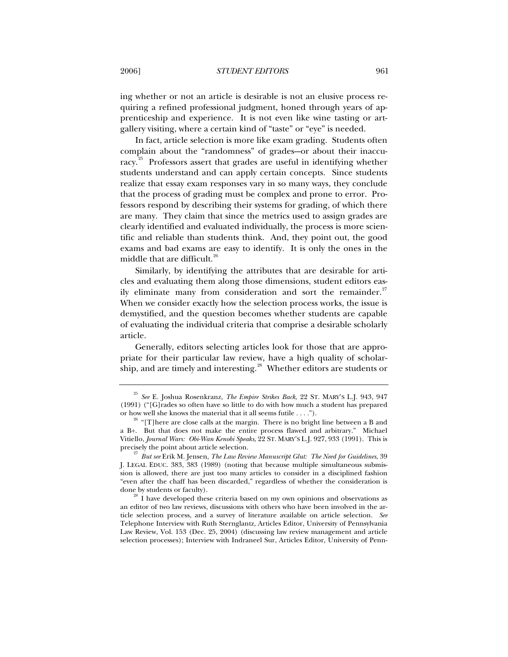ing whether or not an article is desirable is not an elusive process requiring a refined professional judgment, honed through years of apprenticeship and experience. It is not even like wine tasting or artgallery visiting, where a certain kind of "taste" or "eye" is needed.

In fact, article selection is more like exam grading. Students often complain about the "randomness" of grades-–or about their inaccu-racy.<sup>[25](#page-10-0)</sup> Professors assert that grades are useful in identifying whether students understand and can apply certain concepts. Since students realize that essay exam responses vary in so many ways, they conclude that the process of grading must be complex and prone to error. Professors respond by describing their systems for grading, of which there are many. They claim that since the metrics used to assign grades are clearly identified and evaluated individually, the process is more scientific and reliable than students think. And, they point out, the good exams and bad exams are easy to identify. It is only the ones in the middle that are difficult.<sup>[26](#page-10-1)</sup>

Similarly, by identifying the attributes that are desirable for articles and evaluating them along those dimensions, student editors easily eliminate many from consideration and sort the remainder. $27$ When we consider exactly how the selection process works, the issue is demystified, and the question becomes whether students are capable of evaluating the individual criteria that comprise a desirable scholarly article.

Generally, editors selecting articles look for those that are appropriate for their particular law review, have a high quality of scholar-ship, and are timely and interesting.<sup>[28](#page-10-3)</sup> Whether editors are students or

<span id="page-10-0"></span><sup>25</sup> *See* E. Joshua Rosenkranz, *The Empire Strikes Back*, 22 ST. MARY'S L.J. 943, 947 (1991) ("[G]rades so often have so little to do with how much a student has prepared or how well she knows the material that it all seems futile . . . .").<br><sup>26</sup> "[T]here are close calls at the margin. There is no bright line between a B and

<span id="page-10-1"></span>a B+. But that does not make the entire process flawed and arbitrary." Michael Vitiello, *Journal Wars: Obi-Wan Kenobi Speaks*, 22 ST. MARY'S L.J. 927, 933 (1991). This is precisely the point about article selection. 27 *But see* Erik M. Jensen, *The Law Review Manuscript Glut: The Need for Guidelines*, 39

<span id="page-10-2"></span>J. LEGAL EDUC. 383, 383 (1989) (noting that because multiple simultaneous submission is allowed, there are just too many articles to consider in a disciplined fashion "even after the chaff has been discarded," regardless of whether the consideration is done by students or faculty).

<span id="page-10-3"></span> $28$  I have developed these criteria based on my own opinions and observations as an editor of two law reviews, discussions with others who have been involved in the article selection process, and a survey of literature available on article selection. *See* Telephone Interview with Ruth Sternglantz, Articles Editor, University of Pennsylvania Law Review, Vol. 153 (Dec. 25, 2004) (discussing law review management and article selection processes); Interview with Indraneel Sur, Articles Editor, University of Penn-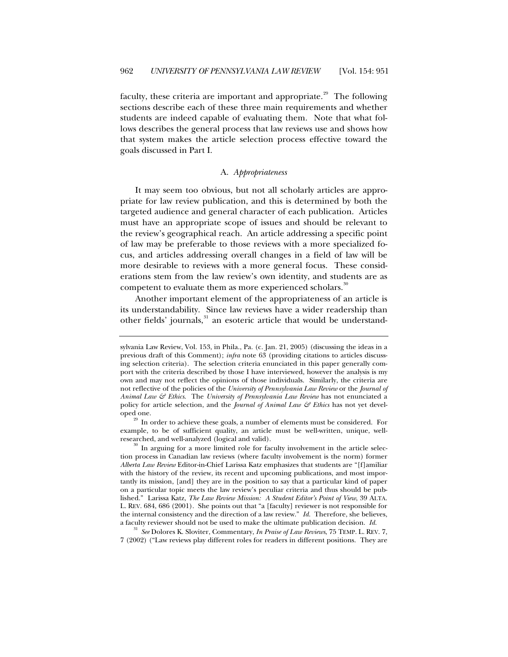faculty, these criteria are important and appropriate.<sup>[29](#page-11-0)</sup> The following sections describe each of these three main requirements and whether students are indeed capable of evaluating them. Note that what follows describes the general process that law reviews use and shows how that system makes the article selection process effective toward the goals discussed in Part I.

### A. *Appropriateness*

It may seem too obvious, but not all scholarly articles are appropriate for law review publication, and this is determined by both the targeted audience and general character of each publication. Articles must have an appropriate scope of issues and should be relevant to the review's geographical reach. An article addressing a specific point of law may be preferable to those reviews with a more specialized focus, and articles addressing overall changes in a field of law will be more desirable to reviews with a more general focus. These considerations stem from the law review's own identity, and students are as competent to evaluate them as more experienced scholars.<sup>[30](#page-11-1)</sup>

Another important element of the appropriateness of an article is its understandability. Since law reviews have a wider readership than other fields' journals,<sup>[31](#page-11-2)</sup> an esoteric article that would be understand-

<span id="page-11-2"></span>a faculty reviewer should not be used to make the ultimate publication decision. *Id.* <sup>31</sup> *See* Dolores K. Sloviter, Commentary, *In Praise of Law Reviews*, 75 TEMP. L. REV. 7, 7 (2002) ("Law reviews play different roles for readers in different positions. They are

sylvania Law Review, Vol. 153, in Phila., Pa. (c. Jan. 21, 2005) (discussing the ideas in a previous draft of this Comment); *infra* note 63 (providing citations to articles discussing selection criteria). The selection criteria enunciated in this paper generally comport with the criteria described by those I have interviewed, however the analysis is my own and may not reflect the opinions of those individuals. Similarly, the criteria are not reflective of the policies of the *University of Pennsylvania Law Review* or the *Journal of Animal Law & Ethics*. The *University of Pennsylvania Law Review* has not enunciated a policy for article selection, and the *Journal of Animal Law & Ethics* has not yet developed one.<br> $29$  In order to achieve these goals, a number of elements must be considered. For

<span id="page-11-0"></span>example, to be of sufficient quality, an article must be well-written, unique, well-<br>researched, and well-analyzed (logical and valid).

<span id="page-11-1"></span> $\sigma$  In arguing for a more limited role for faculty involvement in the article selection process in Canadian law reviews (where faculty involvement is the norm) former *Alberta Law Review* Editor-in-Chief Larissa Katz emphasizes that students are "[f]amiliar with the history of the review, its recent and upcoming publications, and most importantly its mission, [and] they are in the position to say that a particular kind of paper on a particular topic meets the law review's peculiar criteria and thus should be published." Larissa Katz, *The Law Review Mission: A Student Editor's Point of View*, 39 ALTA. L. REV. 684, 686 (2001). She points out that "a [faculty] reviewer is not responsible for the internal consistency and the direction of a law review." *Id.* Therefore, she believes,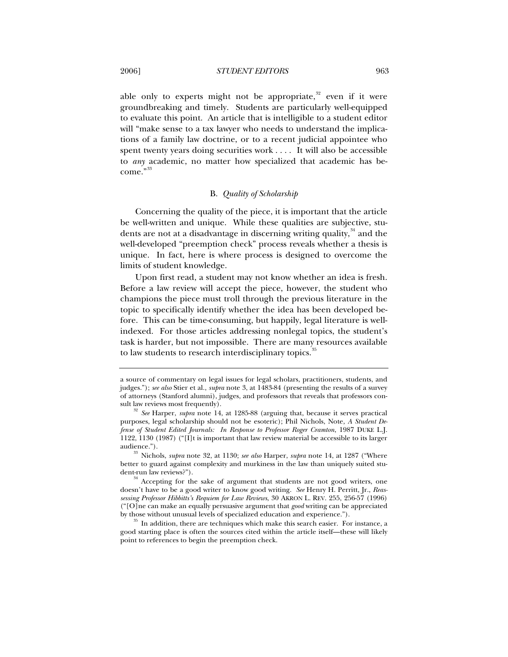able only to experts might not be appropriate, $32$  even if it were groundbreaking and timely. Students are particularly well-equipped to evaluate this point. An article that is intelligible to a student editor will "make sense to a tax lawyer who needs to understand the implications of a family law doctrine, or to a recent judicial appointee who spent twenty years doing securities work . . . . It will also be accessible to *any* academic, no matter how specialized that academic has be-come."<sup>[33](#page-12-1)</sup>

#### B. *Quality of Scholarship*

Concerning the quality of the piece, it is important that the article be well-written and unique. While these qualities are subjective, students are not at a disadvantage in discerning writing quality, $34$  and the well-developed "preemption check" process reveals whether a thesis is unique. In fact, here is where process is designed to overcome the limits of student knowledge.

Upon first read, a student may not know whether an idea is fresh. Before a law review will accept the piece, however, the student who champions the piece must troll through the previous literature in the topic to specifically identify whether the idea has been developed before. This can be time-consuming, but happily, legal literature is wellindexed. For those articles addressing nonlegal topics, the student's task is harder, but not impossible. There are many resources available to law students to research interdisciplinary topics.<sup>[35](#page-12-3)</sup>

<span id="page-12-3"></span><sup>35</sup> In addition, there are techniques which make this search easier. For instance, a good starting place is often the sources cited within the article itself—these will likely point to references to begin the preemption check.

a source of commentary on legal issues for legal scholars, practitioners, students, and judges."); *see also* Stier et al., *supra* note 3, at 1483-84 (presenting the results of a survey of attorneys (Stanford alumni), judges, and professors that reveals that professors consult law reviews most frequently).

<span id="page-12-0"></span><sup>32</sup> *See* Harper, *supra* note 14, at 1285-88 (arguing that, because it serves practical purposes, legal scholarship should not be esoteric); Phil Nichols, Note, *A Student Defense of Student Edited Journals: In Response to Professor Roger Cramton*, 1987 DUKE L.J. 1122, 1130 (1987) ("[I]t is important that law review material be accessible to its larger audience.").

<span id="page-12-1"></span><sup>33</sup> Nichols, *supra* note 32, at 1130; *see also* Harper, *supra* note 14, at 1287 ("Where better to guard against complexity and murkiness in the law than uniquely suited student-run law reviews?").

<span id="page-12-2"></span><sup>&</sup>lt;sup>34</sup> Accepting for the sake of argument that students are not good writers, one doesn't have to be a good writer to know good writing. *See* Henry H. Perritt, Jr., *Reassessing Professor Hibbitts's Requiem for Law Reviews*, 30 AKRON L. REV. 255, 256-57 (1996) ("[O]ne can make an equally persuasive argument that *good* writing can be appreciated by those without unusual levels of specialized education and experience.").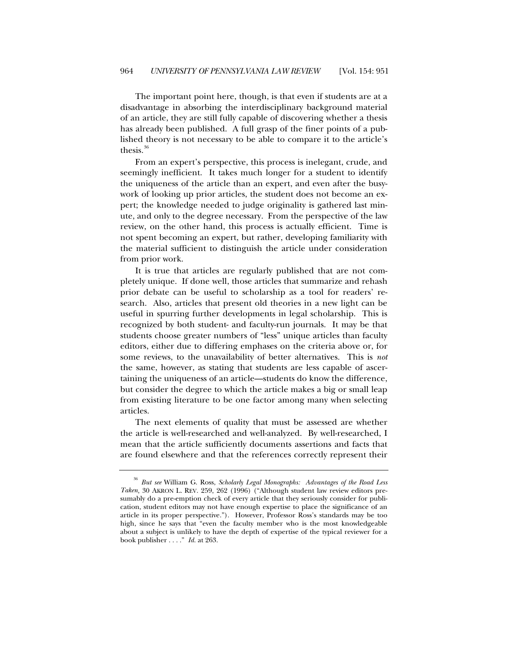The important point here, though, is that even if students are at a disadvantage in absorbing the interdisciplinary background material of an article, they are still fully capable of discovering whether a thesis has already been published. A full grasp of the finer points of a published theory is not necessary to be able to compare it to the article's thesis.<sup>[36](#page-13-0)</sup>

From an expert's perspective, this process is inelegant, crude, and seemingly inefficient. It takes much longer for a student to identify the uniqueness of the article than an expert, and even after the busywork of looking up prior articles, the student does not become an expert; the knowledge needed to judge originality is gathered last minute, and only to the degree necessary. From the perspective of the law review, on the other hand, this process is actually efficient. Time is not spent becoming an expert, but rather, developing familiarity with the material sufficient to distinguish the article under consideration from prior work.

It is true that articles are regularly published that are not completely unique. If done well, those articles that summarize and rehash prior debate can be useful to scholarship as a tool for readers' research. Also, articles that present old theories in a new light can be useful in spurring further developments in legal scholarship. This is recognized by both student- and faculty-run journals. It may be that students choose greater numbers of "less" unique articles than faculty editors, either due to differing emphases on the criteria above or, for some reviews, to the unavailability of better alternatives. This is *not* the same, however, as stating that students are less capable of ascertaining the uniqueness of an article—students do know the difference, but consider the degree to which the article makes a big or small leap from existing literature to be one factor among many when selecting articles.

The next elements of quality that must be assessed are whether the article is well-researched and well-analyzed. By well-researched, I mean that the article sufficiently documents assertions and facts that are found elsewhere and that the references correctly represent their

<span id="page-13-0"></span><sup>36</sup> *But see* William G. Ross, *Scholarly Legal Monographs: Advantages of the Road Less Taken*, 30 AKRON L. REV. 259, 262 (1996) ("Although student law review editors presumably do a pre-emption check of every article that they seriously consider for publication, student editors may not have enough expertise to place the significance of an article in its proper perspective."). However, Professor Ross's standards may be too high, since he says that "even the faculty member who is the most knowledgeable about a subject is unlikely to have the depth of expertise of the typical reviewer for a book publisher . . . ." *Id.* at 263.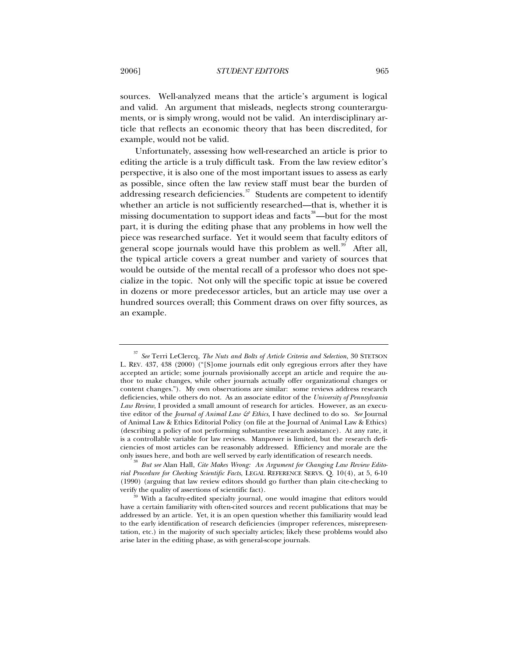sources. Well-analyzed means that the article's argument is logical and valid. An argument that misleads, neglects strong counterarguments, or is simply wrong, would not be valid. An interdisciplinary article that reflects an economic theory that has been discredited, for example, would not be valid.

Unfortunately, assessing how well-researched an article is prior to editing the article is a truly difficult task. From the law review editor's perspective, it is also one of the most important issues to assess as early as possible, since often the law review staff must bear the burden of addressing research deficiencies. $37$  Students are competent to identify whether an article is not sufficiently researched—that is, whether it is missing documentation to support ideas and facts<sup>[38](#page-14-1)</sup>—but for the most part, it is during the editing phase that any problems in how well the piece was researched surface. Yet it would seem that faculty editors of general scope journals would have this problem as well.<sup>[39](#page-14-2)</sup> After all, the typical article covers a great number and variety of sources that would be outside of the mental recall of a professor who does not specialize in the topic. Not only will the specific topic at issue be covered in dozens or more predecessor articles, but an article may use over a hundred sources overall; this Comment draws on over fifty sources, as an example.

<span id="page-14-0"></span><sup>37</sup> *See* Terri LeClercq, *The Nuts and Bolts of Article Criteria and Selection*, 30 STETSON L. REV. 437, 438 (2000) ("[S]ome journals edit only egregious errors after they have accepted an article; some journals provisionally accept an article and require the author to make changes, while other journals actually offer organizational changes or content changes."). My own observations are similar: some reviews address research deficiencies, while others do not. As an associate editor of the *University of Pennsylvania Law Review*, I provided a small amount of research for articles. However, as an executive editor of the *Journal of Animal Law & Ethics*, I have declined to do so. *See* Journal of Animal Law & Ethics Editorial Policy (on file at the Journal of Animal Law & Ethics) (describing a policy of not performing substantive research assistance). At any rate, it is a controllable variable for law reviews. Manpower is limited, but the research deficiencies of most articles can be reasonably addressed. Efficiency and morale are the

<span id="page-14-1"></span>only issues here, and both are well served by early identification of research needs. 38 *But see* Alan Hall, *Cite Makes Wrong: An Argument for Changing Law Review Editorial Procedure for Checking Scientific Facts*, LEGAL REFERENCE SERVS. Q. 10(4), at 5, 6-10 (1990) (arguing that law review editors should go further than plain cite-checking to verify the quality of assertions of scientific fact).

<span id="page-14-2"></span><sup>&</sup>lt;sup>39</sup> With a faculty-edited specialty journal, one would imagine that editors would have a certain familiarity with often-cited sources and recent publications that may be addressed by an article. Yet, it is an open question whether this familiarity would lead to the early identification of research deficiencies (improper references, misrepresentation, etc.) in the majority of such specialty articles; likely these problems would also arise later in the editing phase, as with general-scope journals.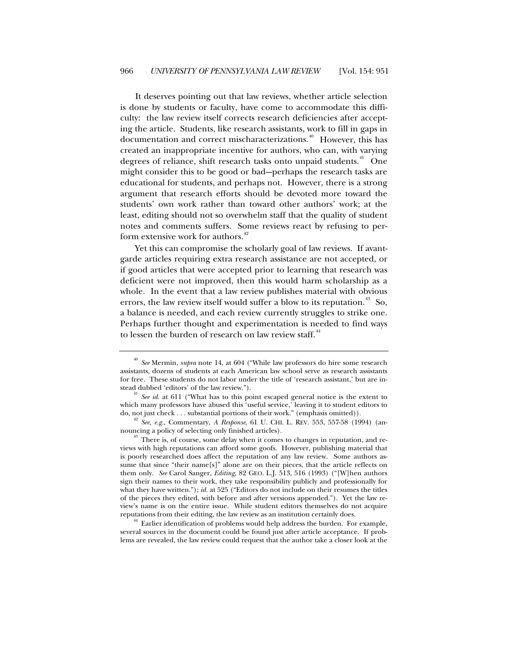It deserves pointing out that law reviews, whether article selection is done by students or faculty, have come to accommodate this difficulty: the law review itself corrects research deficiencies after accepting the article. Students, like research assistants, work to fill in gaps in documentation and correct mischaracterizations.<sup>[40](#page-15-0)</sup> However, this has created an inappropriate incentive for authors, who can, with varying degrees of reliance, shift research tasks onto unpaid students.<sup>[41](#page-15-1)</sup> One might consider this to be good or bad-–perhaps the research tasks are educational for students, and perhaps not. However, there is a strong argument that research efforts should be devoted more toward the students' own work rather than toward other authors' work; at the least, editing should not so overwhelm staff that the quality of student notes and comments suffers. Some reviews react by refusing to per-form extensive work for authors.<sup>[42](#page-15-2)</sup>

Yet this can compromise the scholarly goal of law reviews. If avantgarde articles requiring extra research assistance are not accepted, or if good articles that were accepted prior to learning that research was deficient were not improved, then this would harm scholarship as a whole. In the event that a law review publishes material with obvious errors, the law review itself would suffer a blow to its reputation.<sup>[43](#page-15-3)</sup> So, a balance is needed, and each review currently struggles to strike one. Perhaps further thought and experimentation is needed to find ways to lessen the burden of research on law review staff.<sup>[44](#page-15-4)</sup>

<span id="page-15-4"></span>several sources in the document could be found just after article acceptance. If problems are revealed, the law review could request that the author take a closer look at the

<span id="page-15-0"></span><sup>40</sup> *See* Mermin, *supra* note 14, at 604 ("While law professors do hire some research assistants, dozens of students at each American law school serve as research assistants for free. These students do not labor under the title of 'research assistant,' but are instead dubbed 'editors' of the law review.").

<span id="page-15-1"></span><sup>&</sup>lt;sup>41</sup> *See id.* at 611 ("What has to this point escaped general notice is the extent to which many professors have abused this 'useful service,' leaving it to student editors to do, not just check . . . substantial portions of their work." (emphasis omitted)). 42 *See, e.g.*, Commentary, *A Response*, 61 U. CHI. L. REV. 553, 557-58 (1994) (an-

<span id="page-15-2"></span>nouncing a policy of selecting only finished articles).

<span id="page-15-3"></span><sup>&</sup>lt;sup>43</sup> There is, of course, some delay when it comes to changes in reputation, and reviews with high reputations can afford some goofs. However, publishing material that is poorly researched does affect the reputation of any law review. Some authors assume that since "their name[s]" alone are on their pieces, that the article reflects on them only. *See* Carol Sanger, *Editing*, 82 GEO. L.J. 513, 516 (1993) ("[W]hen authors sign their names to their work, they take responsibility publicly and professionally for what they have written."); *id.* at 525 ("Editors do not include on their resumes the titles of the pieces they edited, with before and after versions appended."). Yet the law review's name is on the entire issue. While student editors themselves do not acquire reputations from their editing, the law review as an institution certainly does. 44 Earlier identification of problems would help address the burden. For example,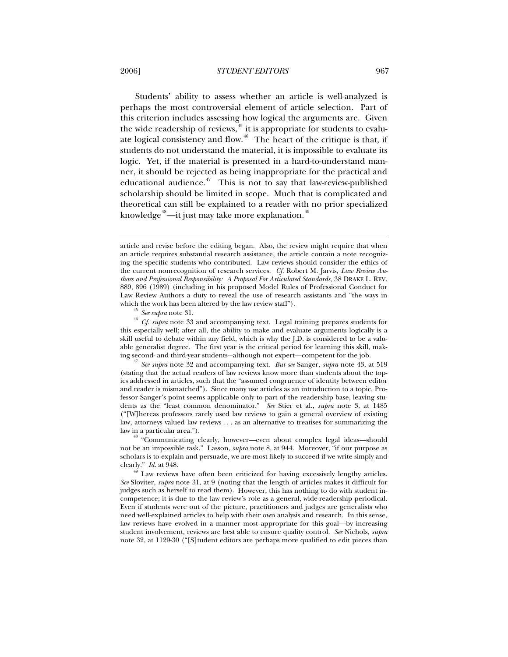Students' ability to assess whether an article is well-analyzed is perhaps the most controversial element of article selection. Part of this criterion includes assessing how logical the arguments are. Given the wide readership of reviews, $45$  it is appropriate for students to evalu-ate logical consistency and flow.<sup>[46](#page-16-1)</sup> The heart of the critique is that, if students do not understand the material, it is impossible to evaluate its logic. Yet, if the material is presented in a hard-to-understand manner, it should be rejected as being inappropriate for the practical and educational audience. $47$  This is not to say that law-review-published scholarship should be limited in scope. Much that is complicated and theoretical can still be explained to a reader with no prior specialized knowledge<sup>[48](#page-16-3)</sup>—it just may take more explanation.<sup>[49](#page-16-4)</sup>

<span id="page-16-3"></span><sup>8</sup> "Communicating clearly, however—even about complex legal ideas—should not be an impossible task." Lasson, *supra* note 8, at 944. Moreover, "if our purpose as scholars is to explain and persuade, we are most likely to succeed if we write simply and clearly." *Id.* at 948.

article and revise before the editing began. Also, the review might require that when an article requires substantial research assistance, the article contain a note recognizing the specific students who contributed. Law reviews should consider the ethics of the current nonrecognition of research services. *Cf.* Robert M. Jarvis, *Law Review Authors and Professional Responsibility: A Proposal For Articulated Standards*, 38 DRAKE L. REV. 889, 896 (1989) (including in his proposed Model Rules of Professional Conduct for Law Review Authors a duty to reveal the use of research assistants and "the ways in

<span id="page-16-1"></span><span id="page-16-0"></span>which the work has been altered by the law review staff").<br><sup>45</sup> *See supra* note 31.<br><sup>46</sup> *Cf. supra* note 33 and accompanying text. Legal training prepares students for this especially well; after all, the ability to make and evaluate arguments logically is a skill useful to debate within any field, which is why the J.D. is considered to be a valuable generalist degree. The first year is the critical period for learning this skill, making second- and third-year students-–although not expert—competent for the job. 47 *See supra* note 32 and accompanying text. *But see* Sanger, *supra* note 43, at 519

<span id="page-16-2"></span><sup>(</sup>stating that the actual readers of law reviews know more than students about the topics addressed in articles, such that the "assumed congruence of identity between editor and reader is mismatched"). Since many use articles as an introduction to a topic, Professor Sanger's point seems applicable only to part of the readership base, leaving students as the "least common denominator." *See* Stier et al., *supra* note 3, at 1485 ("[W]hereas professors rarely used law reviews to gain a general overview of existing law, attorneys valued law reviews . . . as an alternative to treatises for summarizing the law in a particular area.").

<span id="page-16-4"></span><sup>&</sup>lt;sup>49</sup> Law reviews have often been criticized for having excessively lengthy articles. *See* Sloviter, *supra* note 31, at 9 (noting that the length of articles makes it difficult for judges such as herself to read them). However, this has nothing to do with student incompetence; it is due to the law review's role as a general, wide-readership periodical. Even if students were out of the picture, practitioners and judges are generalists who need well-explained articles to help with their own analysis and research. In this sense, law reviews have evolved in a manner most appropriate for this goal—by increasing student involvement, reviews are best able to ensure quality control. *See* Nichols, *supra* note 32, at 1129-30 ("[S]tudent editors are perhaps more qualified to edit pieces than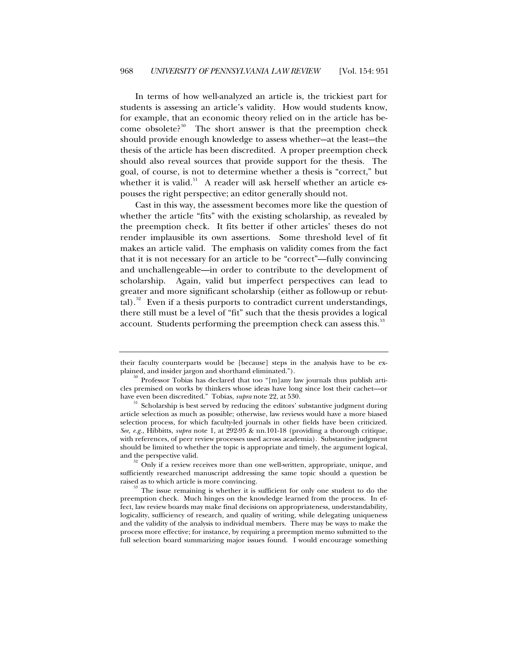In terms of how well-analyzed an article is, the trickiest part for students is assessing an article's validity. How would students know, for example, that an economic theory relied on in the article has be-come obsolete?<sup>[50](#page-17-0)</sup> The short answer is that the preemption check should provide enough knowledge to assess whether–at the least–the thesis of the article has been discredited. A proper preemption check should also reveal sources that provide support for the thesis. The goal, of course, is not to determine whether a thesis is "correct," but whether it is valid. $51$  A reader will ask herself whether an article espouses the right perspective; an editor generally should not.

Cast in this way, the assessment becomes more like the question of whether the article "fits" with the existing scholarship, as revealed by the preemption check. It fits better if other articles' theses do not render implausible its own assertions. Some threshold level of fit makes an article valid. The emphasis on validity comes from the fact that it is not necessary for an article to be "correct"—fully convincing and unchallengeable—in order to contribute to the development of scholarship. Again, valid but imperfect perspectives can lead to greater and more significant scholarship (either as follow-up or rebuttal). $52$  Even if a thesis purports to contradict current understandings, there still must be a level of "fit" such that the thesis provides a logical account. Students performing the preemption check can assess this.<sup>3</sup>

their faculty counterparts would be [because] steps in the analysis have to be ex-

<span id="page-17-0"></span>plained, and insider jargon and shorthand eliminated.").<br><sup>50</sup> Professor Tobias has declared that too "[m]any law journals thus publish articles premised on works by thinkers whose ideas have long since lost their cachet—or have even been discredited." Tobias, *supra* note 22, at 530.

<span id="page-17-1"></span><sup>&</sup>lt;sup>51</sup> Scholarship is best served by reducing the editors' substantive judgment during article selection as much as possible; otherwise, law reviews would have a more biased selection process, for which faculty-led journals in other fields have been criticized. *See, e.g.*, Hibbitts, *supra* note 1, at 292-95 & nn.101-18 (providing a thorough critique, with references, of peer review processes used across academia). Substantive judgment should be limited to whether the topic is appropriate and timely, the argument logical,

<span id="page-17-2"></span>and the perspective valid.  $52$  Only if a review receives more than one well-written, appropriate, unique, and sufficiently researched manuscript addressing the same topic should a question be

<span id="page-17-3"></span>raised as to which article is more convincing.<br><sup>53</sup> The issue remaining is whether it is sufficient for only one student to do the preemption check. Much hinges on the knowledge learned from the process. In effect, law review boards may make final decisions on appropriateness, understandability, logicality, sufficiency of research, and quality of writing, while delegating uniqueness and the validity of the analysis to individual members. There may be ways to make the process more effective; for instance, by requiring a preemption memo submitted to the full selection board summarizing major issues found. I would encourage something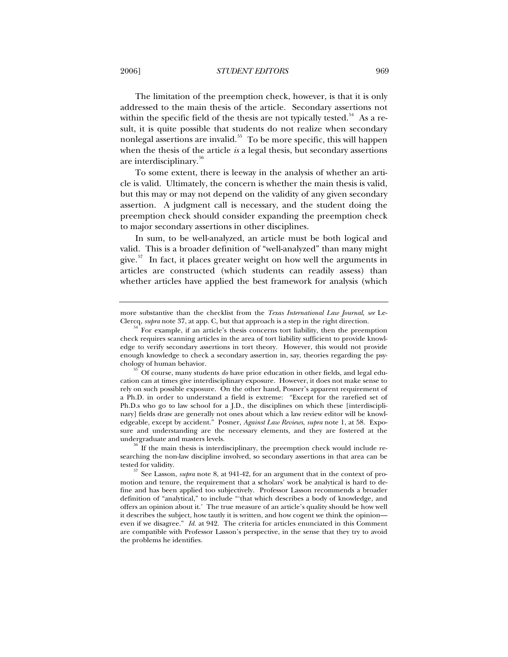The limitation of the preemption check, however, is that it is only addressed to the main thesis of the article. Secondary assertions not within the specific field of the thesis are not typically tested.<sup>[54](#page-18-0)</sup> As a result, it is quite possible that students do not realize when secondary nonlegal assertions are invalid.<sup>[55](#page-18-1)</sup> To be more specific, this will happen when the thesis of the article *is* a legal thesis, but secondary assertions are interdisciplinary. $56$ 

To some extent, there is leeway in the analysis of whether an article is valid. Ultimately, the concern is whether the main thesis is valid, but this may or may not depend on the validity of any given secondary assertion. A judgment call is necessary, and the student doing the preemption check should consider expanding the preemption check to major secondary assertions in other disciplines.

In sum, to be well-analyzed, an article must be both logical and valid. This is a broader definition of "well-analyzed" than many might give.<sup>[57](#page-18-3)</sup> In fact, it places greater weight on how well the arguments in articles are constructed (which students can readily assess) than whether articles have applied the best framework for analysis (which

more substantive than the checklist from the *Texas International Law Journal*, *see* Le-Clercq, *supra* note 37, at app. C, but that approach is a step in the right direction.<br><sup>54</sup> For example, if an article's thesis concerns tort liability, then the preemption

<span id="page-18-0"></span>check requires scanning articles in the area of tort liability sufficient to provide knowledge to verify secondary assertions in tort theory. However, this would not provide enough knowledge to check a secondary assertion in, say, theories regarding the psychology of human behavior. 55 Of course, many students *do* have prior education in other fields, and legal edu-

<span id="page-18-1"></span>cation can at times give interdisciplinary exposure. However, it does not make sense to rely on such possible exposure. On the other hand, Posner's apparent requirement of a Ph.D. in order to understand a field is extreme: "Except for the rarefied set of Ph.D.s who go to law school for a J.D., the disciplines on which these [interdisciplinary] fields draw are generally not ones about which a law review editor will be knowledgeable, except by accident." Posner, *Against Law Reviews*, *supra* note 1, at 58. Exposure and understanding are the necessary elements, and they are fostered at the undergraduate and masters levels.<br><sup>56</sup> If the main thesis is interdisciplinary, the preemption check would include re-

<span id="page-18-2"></span>searching the non-law discipline involved, so secondary assertions in that area can be tested for validity.<br><sup>57</sup> See Lasson, *supra* note 8, at 941-42, for an argument that in the context of pro-

<span id="page-18-3"></span>motion and tenure, the requirement that a scholars' work be analytical is hard to define and has been applied too subjectively. Professor Lasson recommends a broader definition of "analytical," to include "'that which describes a body of knowledge, and offers an opinion about it.' The true measure of an article's quality should be how well it describes the subject, how tautly it is written, and how cogent we think the opinion even if we disagree." *Id.* at 942. The criteria for articles enunciated in this Comment are compatible with Professor Lasson's perspective, in the sense that they try to avoid the problems he identifies.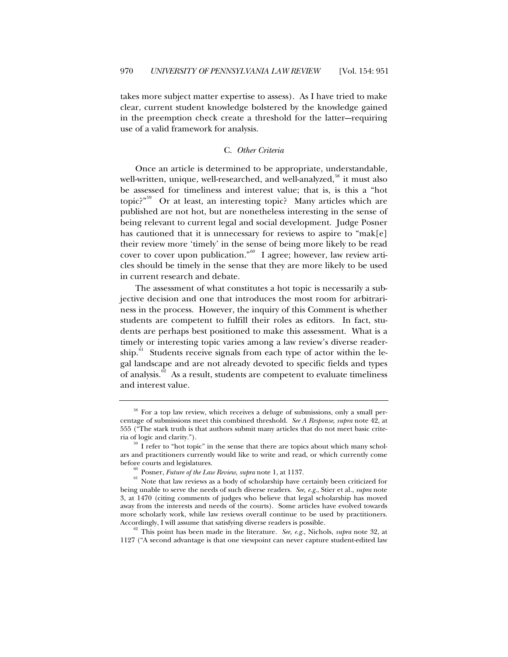takes more subject matter expertise to assess). As I have tried to make clear, current student knowledge bolstered by the knowledge gained in the preemption check create a threshold for the latter–-requiring use of a valid framework for analysis.

### C. *Other Criteria*

Once an article is determined to be appropriate, understandable, well-written, unique, well-researched, and well-analyzed,<sup>[58](#page-19-0)</sup> it must also be assessed for timeliness and interest value; that is, is this a "hot topic?"[59](#page-19-1) Or at least, an interesting topic? Many articles which are published are not hot, but are nonetheless interesting in the sense of being relevant to current legal and social development. Judge Posner has cautioned that it is unnecessary for reviews to aspire to "mak[e] their review more 'timely' in the sense of being more likely to be read cover to cover upon publication."<sup>[60](#page-19-2)</sup> I agree; however, law review articles should be timely in the sense that they are more likely to be used in current research and debate.

The assessment of what constitutes a hot topic is necessarily a subjective decision and one that introduces the most room for arbitrariness in the process. However, the inquiry of this Comment is whether students are competent to fulfill their roles as editors. In fact, students are perhaps best positioned to make this assessment. What is a timely or interesting topic varies among a law review's diverse readership. $61$  Students receive signals from each type of actor within the legal landscape and are not already devoted to specific fields and types of analysis. $62$  As a result, students are competent to evaluate timeliness and interest value.

<span id="page-19-4"></span>Accordingly, I will assume that satisfying diverse readers is possible.<br><sup>62</sup> This point has been made in the literature. *See, e.g.*, Nichols, *supra* note 32, at 1127 ("A second advantage is that one viewpoint can never capture student-edited law

<span id="page-19-0"></span><sup>58</sup> For a top law review, which receives a deluge of submissions, only a small percentage of submissions meet this combined threshold. *See A Response*, *supra* note 42, at 555 ("The stark truth is that authors submit many articles that do not meet basic criteria of logic and clarity.").

<span id="page-19-1"></span> $59$  I refer to "hot topic" in the sense that there are topics about which many scholars and practitioners currently would like to write and read, or which currently come

<span id="page-19-3"></span><span id="page-19-2"></span>before courts and legislatures.<br><sup>60</sup> Posner, *Future of the Law Review*, *supra* note 1, at 1137.<br><sup>61</sup> Note that law reviews as a body of scholarship have certainly been criticized for being unable to serve the needs of such diverse readers. *See, e.g.*, Stier et al., *supra* note 3, at 1470 (citing comments of judges who believe that legal scholarship has moved away from the interests and needs of the courts). Some articles have evolved towards more scholarly work, while law reviews overall continue to be used by practitioners.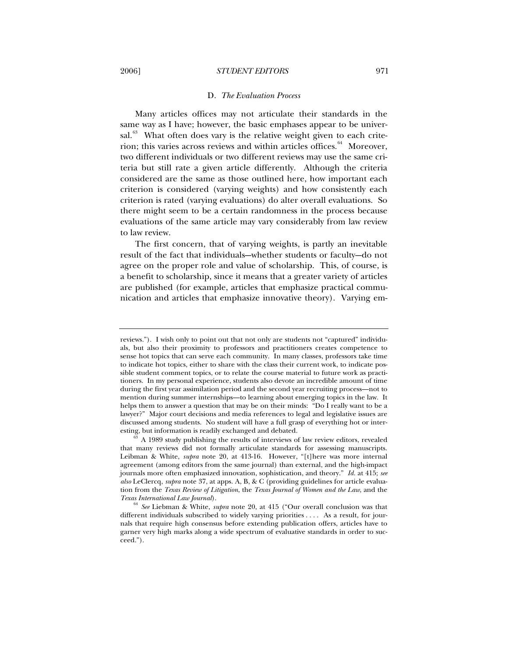### D. *The Evaluation Process*

Many articles offices may not articulate their standards in the same way as I have; however, the basic emphases appear to be univer-sal.<sup>[63](#page-20-0)</sup> What often does vary is the relative weight given to each crite-rion; this varies across reviews and within articles offices.<sup>[64](#page-20-1)</sup> Moreover, two different individuals or two different reviews may use the same criteria but still rate a given article differently. Although the criteria considered are the same as those outlined here, how important each criterion is considered (varying weights) and how consistently each criterion is rated (varying evaluations) do alter overall evaluations. So there might seem to be a certain randomness in the process because evaluations of the same article may vary considerably from law review to law review.

The first concern, that of varying weights, is partly an inevitable result of the fact that individuals-–whether students or faculty-–do not agree on the proper role and value of scholarship. This, of course, is a benefit to scholarship, since it means that a greater variety of articles are published (for example, articles that emphasize practical communication and articles that emphasize innovative theory). Varying em-

reviews."). I wish only to point out that not only are students not "captured" individuals, but also their proximity to professors and practitioners creates competence to sense hot topics that can serve each community. In many classes, professors take time to indicate hot topics, either to share with the class their current work, to indicate possible student comment topics, or to relate the course material to future work as practitioners. In my personal experience, students also devote an incredible amount of time during the first year assimilation period and the second year recruiting process—not to mention during summer internships—to learning about emerging topics in the law. It helps them to answer a question that may be on their minds: "Do I really want to be a lawyer?" Major court decisions and media references to legal and legislative issues are discussed among students. No student will have a full grasp of everything hot or interesting, but information is readily exchanged and debated.<br><sup>63</sup> A 1989 study publishing the results of interviews of law review editors, revealed

<span id="page-20-0"></span>that many reviews did not formally articulate standards for assessing manuscripts. Leibman & White, *supra* note 20, at 413-16. However, "[t]here was more internal agreement (among editors from the same journal) than external, and the high-impact journals more often emphasized innovation, sophistication, and theory." *Id.* at 415; *see also* LeClercq, *supra* note 37, at apps. A, B, & C (providing guidelines for article evaluation from the *Texas Review of Litigation*, the *Texas Journal of Women and the Law*, and the

<span id="page-20-1"></span>*Texas International Law Journal*). <sup>64</sup> *See* Liebman & White, *supra* note 20, at 415 ("Our overall conclusion was that different individuals subscribed to widely varying priorities . . . . As a result, for journals that require high consensus before extending publication offers, articles have to garner very high marks along a wide spectrum of evaluative standards in order to succeed.").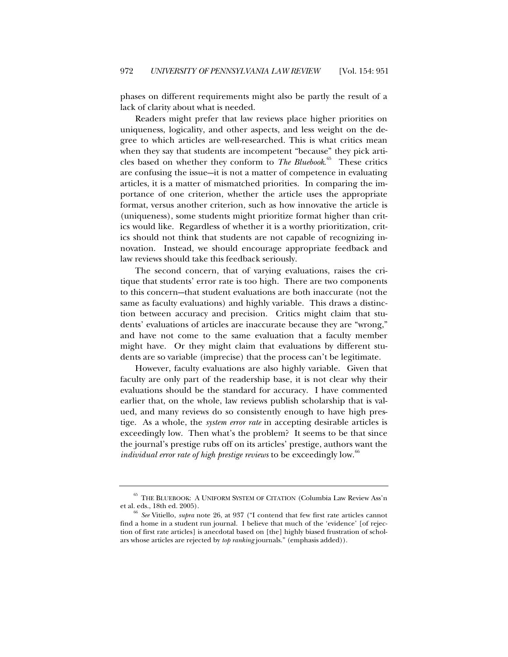phases on different requirements might also be partly the result of a lack of clarity about what is needed.

Readers might prefer that law reviews place higher priorities on uniqueness, logicality, and other aspects, and less weight on the degree to which articles are well-researched. This is what critics mean when they say that students are incompetent "because" they pick articles based on whether they conform to *The Bluebook*. [65](#page-21-0) These critics are confusing the issue-–it is not a matter of competence in evaluating articles, it is a matter of mismatched priorities. In comparing the importance of one criterion, whether the article uses the appropriate format, versus another criterion, such as how innovative the article is (uniqueness), some students might prioritize format higher than critics would like. Regardless of whether it is a worthy prioritization, critics should not think that students are not capable of recognizing innovation. Instead, we should encourage appropriate feedback and law reviews should take this feedback seriously.

The second concern, that of varying evaluations, raises the critique that students' error rate is too high. There are two components to this concern-–that student evaluations are both inaccurate (not the same as faculty evaluations) and highly variable. This draws a distinction between accuracy and precision. Critics might claim that students' evaluations of articles are inaccurate because they are "wrong," and have not come to the same evaluation that a faculty member might have. Or they might claim that evaluations by different students are so variable (imprecise) that the process can't be legitimate.

However, faculty evaluations are also highly variable. Given that faculty are only part of the readership base, it is not clear why their evaluations should be the standard for accuracy. I have commented earlier that, on the whole, law reviews publish scholarship that is valued, and many reviews do so consistently enough to have high prestige. As a whole, the *system error rate* in accepting desirable articles is exceedingly low. Then what's the problem? It seems to be that since the journal's prestige rubs off on its articles' prestige, authors want the *individual error rate of high prestige reviews* to be exceedingly low.<sup>86</sup>

<span id="page-21-0"></span> $^{65}$  THE BLUEBOOK: A UNIFORM SYSTEM OF CITATION (Columbia Law Review Ass'n et al. eds., 18th ed. 2005).

<span id="page-21-1"></span><sup>&</sup>lt;sup>66</sup> *See* Vitiello, *supra* note 26, at 937 ("I contend that few first rate articles cannot find a home in a student run journal. I believe that much of the 'evidence' [of rejection of first rate articles] is anecdotal based on [the] highly biased frustration of scholars whose articles are rejected by *top ranking* journals." (emphasis added)).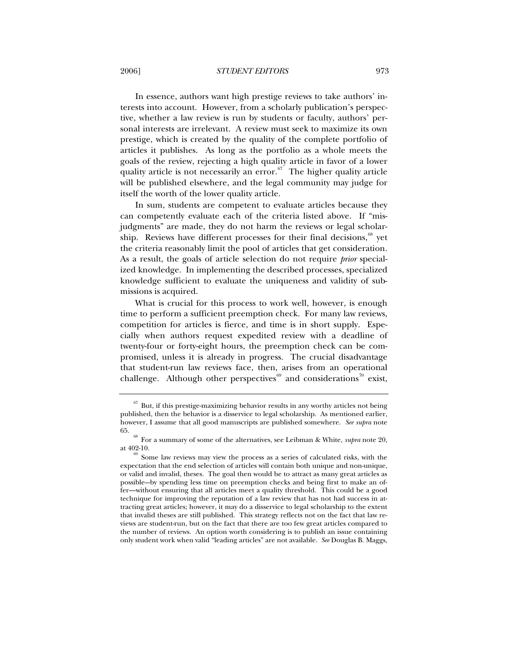In essence, authors want high prestige reviews to take authors' interests into account. However, from a scholarly publication's perspective, whether a law review is run by students or faculty, authors' personal interests are irrelevant. A review must seek to maximize its own prestige, which is created by the quality of the complete portfolio of articles it publishes. As long as the portfolio as a whole meets the goals of the review, rejecting a high quality article in favor of a lower quality article is not necessarily an error. $67$  The higher quality article will be published elsewhere, and the legal community may judge for itself the worth of the lower quality article.

In sum, students are competent to evaluate articles because they can competently evaluate each of the criteria listed above. If "misjudgments" are made, they do not harm the reviews or legal scholarship. Reviews have different processes for their final decisions,  $68$  yet the criteria reasonably limit the pool of articles that get consideration. As a result, the goals of article selection do not require *prior* specialized knowledge. In implementing the described processes, specialized knowledge sufficient to evaluate the uniqueness and validity of submissions is acquired.

What is crucial for this process to work well, however, is enough time to perform a sufficient preemption check. For many law reviews, competition for articles is fierce, and time is in short supply. Especially when authors request expedited review with a deadline of twenty-four or forty-eight hours, the preemption check can be compromised, unless it is already in progress. The crucial disadvantage that student-run law reviews face, then, arises from an operational challenge. Although other perspectives<sup>[69](#page-22-2)</sup> and considerations<sup>[70](#page-22-3)</sup> exist,

<span id="page-22-0"></span> $67$  But, if this prestige-maximizing behavior results in any worthy articles not being published, then the behavior is a disservice to legal scholarship. As mentioned earlier, however, I assume that all good manuscripts are published somewhere. *See supra* note

<span id="page-22-3"></span><span id="page-22-1"></span><sup>65. 68</sup> For a summary of some of the alternatives, see Leibman & White, *supra* note 20, at 402-10.

<span id="page-22-2"></span>Some law reviews may view the process as a series of calculated risks, with the expectation that the end selection of articles will contain both unique and non-unique, or valid and invalid, theses. The goal then would be to attract as many great articles as possible–-by spending less time on preemption checks and being first to make an offer—without ensuring that all articles meet a quality threshold. This could be a good technique for improving the reputation of a law review that has not had success in attracting great articles; however, it may do a disservice to legal scholarship to the extent that invalid theses are still published. This strategy reflects not on the fact that law reviews are student-run, but on the fact that there are too few great articles compared to the number of reviews. An option worth considering is to publish an issue containing only student work when valid "leading articles" are not available. *See* Douglas B. Maggs,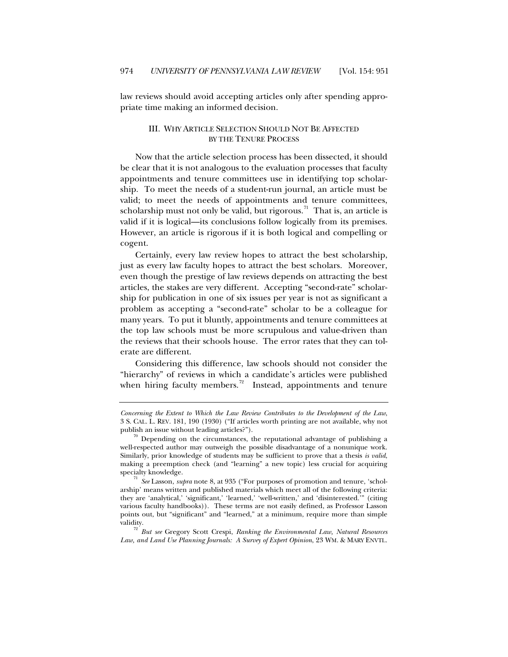law reviews should avoid accepting articles only after spending appropriate time making an informed decision.

### III. WHY ARTICLE SELECTION SHOULD NOT BE AFFECTED BY THE TENURE PROCESS

Now that the article selection process has been dissected, it should be clear that it is not analogous to the evaluation processes that faculty appointments and tenure committees use in identifying top scholarship. To meet the needs of a student-run journal, an article must be valid; to meet the needs of appointments and tenure committees, scholarship must not only be valid, but rigorous.<sup>[71](#page-23-0)</sup> That is, an article is valid if it is logical—its conclusions follow logically from its premises. However, an article is rigorous if it is both logical and compelling or cogent.

Certainly, every law review hopes to attract the best scholarship, just as every law faculty hopes to attract the best scholars. Moreover, even though the prestige of law reviews depends on attracting the best articles, the stakes are very different. Accepting "second-rate" scholarship for publication in one of six issues per year is not as significant a problem as accepting a "second-rate" scholar to be a colleague for many years. To put it bluntly, appointments and tenure committees at the top law schools must be more scrupulous and value-driven than the reviews that their schools house. The error rates that they can tolerate are different.

Considering this difference, law schools should not consider the "hierarchy" of reviews in which a candidate's articles were published when hiring faculty members.<sup>[72](#page-23-1)</sup> Instead, appointments and tenure

*Concerning the Extent to Which the Law Review Contributes to the Development of the Law*, 3 S. CAL. L. REV. 181, 190 (1930) ("If articles worth printing are not available, why not

publish an issue without leading articles?").<br><sup>70</sup> Depending on the circumstances, the reputational advantage of publishing a well-respected author may outweigh the possible disadvantage of a nonunique work. Similarly, prior knowledge of students may be sufficient to prove that a thesis *is valid*, making a preemption check (and "learning" a new topic) less crucial for acquiring

<span id="page-23-0"></span>specialty knowledge.<br><sup>71</sup> *See* Lasson, *supra* note 8, at 935 ("For purposes of promotion and tenure, 'scholarship' means written and published materials which meet all of the following criteria: they are 'analytical,' 'significant,' 'learned,' 'well-written,' and 'disinterested.'" (citing various faculty handbooks)). These terms are not easily defined, as Professor Lasson points out, but "significant" and "learned," at a minimum, require more than simple validity. 72 *But see* Gregory Scott Crespi, *Ranking the Environmental Law, Natural Resources* 

<span id="page-23-1"></span>*Law, and Land Use Planning Journals: A Survey of Expert Opinion*, 23 WM. & MARY ENVTL.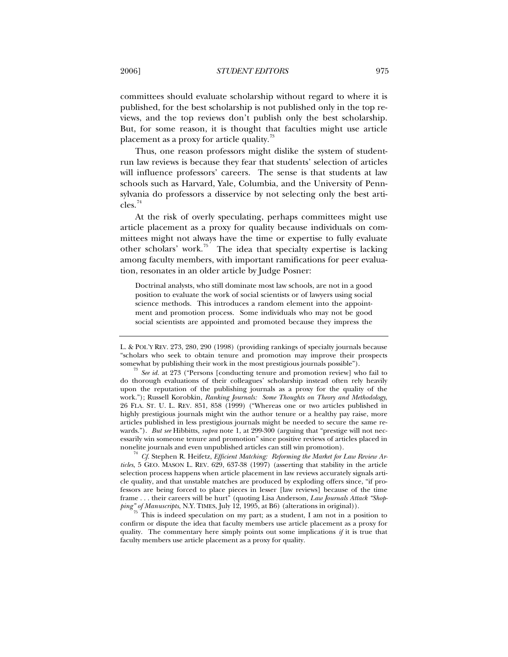committees should evaluate scholarship without regard to where it is published, for the best scholarship is not published only in the top reviews, and the top reviews don't publish only the best scholarship. But, for some reason, it is thought that faculties might use article placement as a proxy for article quality. $73$ 

Thus, one reason professors might dislike the system of studentrun law reviews is because they fear that students' selection of articles will influence professors' careers. The sense is that students at law schools such as Harvard, Yale, Columbia, and the University of Pennsylvania do professors a disservice by not selecting only the best articles.[74](#page-24-1)

At the risk of overly speculating, perhaps committees might use article placement as a proxy for quality because individuals on committees might not always have the time or expertise to fully evaluate other scholars' work.<sup>[75](#page-24-2)</sup> The idea that specialty expertise is lacking among faculty members, with important ramifications for peer evaluation, resonates in an older article by Judge Posner:

Doctrinal analysts, who still dominate most law schools, are not in a good position to evaluate the work of social scientists or of lawyers using social science methods. This introduces a random element into the appointment and promotion process. Some individuals who may not be good social scientists are appointed and promoted because they impress the

<span id="page-24-1"></span>nonelite journals and even unpublished articles can still win promotion). 74 *Cf.* Stephen R. Heifetz, *Efficient Matching: Reforming the Market for Law Review Articles*, 5 GEO. MASON L. REV. 629, 637-38 (1997) (asserting that stability in the article selection process happens when article placement in law reviews accurately signals article quality, and that unstable matches are produced by exploding offers since, "if professors are being forced to place pieces in lesser [law reviews] because of the time frame . . . their careers will be hurt" (quoting Lisa Anderson, *Law Journals Attack "Shopping" of Manuscripts*, N.Y. TIMES, July 12, 1995, at B6) (alterations in original)).

<span id="page-24-2"></span>This is indeed speculation on my part; as a student, I am not in a position to confirm or dispute the idea that faculty members use article placement as a proxy for quality. The commentary here simply points out some implications *if* it is true that faculty members use article placement as a proxy for quality.

L. & POL'Y REV. 273, 280, 290 (1998) (providing rankings of specialty journals because "scholars who seek to obtain tenure and promotion may improve their prospects somewhat by publishing their work in the most prestigious journals possible"). 73 *See id.* at 273 ("Persons [conducting tenure and promotion review] who fail to

<span id="page-24-0"></span>do thorough evaluations of their colleagues' scholarship instead often rely heavily upon the reputation of the publishing journals as a proxy for the quality of the work."); Russell Korobkin, *Ranking Journals: Some Thoughts on Theory and Methodology*, 26 FLA. ST. U. L. REV. 851, 858 (1999) ("Whereas one or two articles published in highly prestigious journals might win the author tenure or a healthy pay raise, more articles published in less prestigious journals might be needed to secure the same rewards."). *But see* Hibbitts, *supra* note 1, at 299-300 (arguing that "prestige will not necessarily win someone tenure and promotion" since positive reviews of articles placed in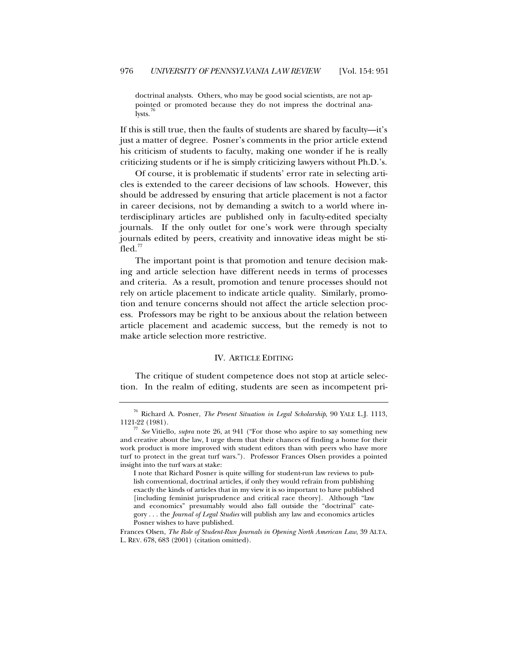doctrinal analysts. Others, who may be good social scientists, are not appointed or promoted because they do not impress the doctrinal analysts.

If this is still true, then the faults of students are shared by faculty—it's just a matter of degree. Posner's comments in the prior article extend his criticism of students to faculty, making one wonder if he is really criticizing students or if he is simply criticizing lawyers without Ph.D.'s.

Of course, it is problematic if students' error rate in selecting articles is extended to the career decisions of law schools. However, this should be addressed by ensuring that article placement is not a factor in career decisions, not by demanding a switch to a world where interdisciplinary articles are published only in faculty-edited specialty journals. If the only outlet for one's work were through specialty journals edited by peers, creativity and innovative ideas might be sti- $fled.<sup>77</sup>$  $fled.<sup>77</sup>$  $fled.<sup>77</sup>$ 

The important point is that promotion and tenure decision making and article selection have different needs in terms of processes and criteria. As a result, promotion and tenure processes should not rely on article placement to indicate article quality. Similarly, promotion and tenure concerns should not affect the article selection process. Professors may be right to be anxious about the relation between article placement and academic success, but the remedy is not to make article selection more restrictive.

### IV. ARTICLE EDITING

The critique of student competence does not stop at article selection. In the realm of editing, students are seen as incompetent pri-

<span id="page-25-0"></span><sup>76</sup> Richard A. Posner, *The Present Situation in Legal Scholarship*, 90 YALE L.J. 1113, 1121-22 (1981).

<span id="page-25-1"></span><sup>77</sup> *See* Vitiello, *supra* note 26, at 941 ("For those who aspire to say something new and creative about the law, I urge them that their chances of finding a home for their work product is more improved with student editors than with peers who have more turf to protect in the great turf wars."). Professor Frances Olsen provides a pointed insight into the turf wars at stake:

I note that Richard Posner is quite willing for student-run law reviews to publish conventional, doctrinal articles, if only they would refrain from publishing exactly the kinds of articles that in my view it is so important to have published [including feminist jurisprudence and critical race theory]. Although "law and economics" presumably would also fall outside the "doctrinal" category . . . the *Journal of Legal Studies* will publish any law and economics articles Posner wishes to have published.

Frances Olsen, *The Role of Student-Run Journals in Opening North American Law*, 39 ALTA. L. REV. 678, 683 (2001) (citation omitted).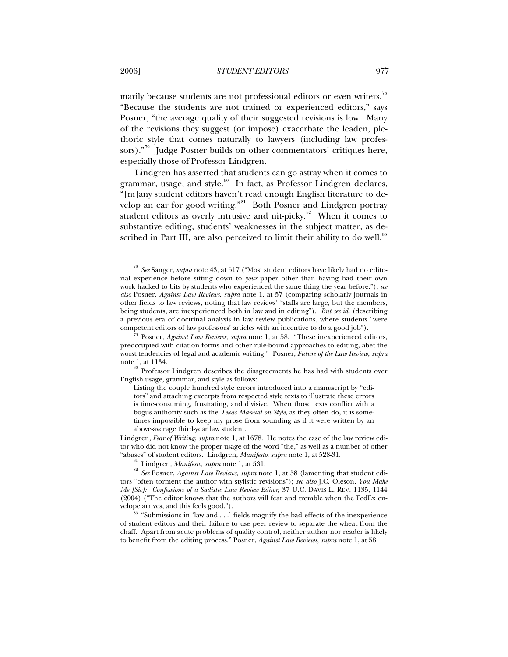marily because students are not professional editors or even writers.<sup>[78](#page-26-0)</sup> "Because the students are not trained or experienced editors," says Posner, "the average quality of their suggested revisions is low. Many of the revisions they suggest (or impose) exacerbate the leaden, plethoric style that comes naturally to lawyers (including law profes-sors)."<sup>[79](#page-26-1)</sup> Judge Posner builds on other commentators' critiques here, especially those of Professor Lindgren.

Lindgren has asserted that students can go astray when it comes to grammar, usage, and style.<sup>[80](#page-26-2)</sup> In fact, as Professor Lindgren declares, "[m]any student editors haven't read enough English literature to de-velop an ear for good writing."<sup>[81](#page-26-3)</sup> Both Posner and Lindgren portray student editors as overly intrusive and nit-picky. $82$  When it comes to substantive editing, students' weaknesses in the subject matter, as de-scribed in Part III, are also perceived to limit their ability to do well.<sup>[83](#page-26-5)</sup>

<span id="page-26-2"></span> $80$  Professor Lindgren describes the disagreements he has had with students over English usage, grammar, and style as follows:

<span id="page-26-0"></span><sup>78</sup> *See* Sanger, *supra* note 43, at 517 ("Most student editors have likely had no editorial experience before sitting down to *your* paper other than having had their own work hacked to bits by students who experienced the same thing the year before."); *see also* Posner, *Against Law Reviews*, *supra* note 1, at 57 (comparing scholarly journals in other fields to law reviews, noting that law reviews' "staffs are large, but the members, being students, are inexperienced both in law and in editing"). *But see id.* (describing a previous era of doctrinal analysis in law review publications, where students "were

<span id="page-26-1"></span>competent editors of law professors' articles with an incentive to do a good job"). 79 Posner, *Against Law Reviews*, *supra* note 1, at 58. "These inexperienced editors, preoccupied with citation forms and other rule-bound approaches to editing, abet the worst tendencies of legal and academic writing." Posner, *Future of the Law Review*, *supra* 

Listing the couple hundred style errors introduced into a manuscript by "editors" and attaching excerpts from respected style texts to illustrate these errors is time-consuming, frustrating, and divisive. When those texts conflict with a bogus authority such as the *Texas Manual on Style*, as they often do, it is sometimes impossible to keep my prose from sounding as if it were written by an above-average third-year law student.

Lindgren, *Fear of Writing*, *supra* note 1, at 1678. He notes the case of the law review editor who did not know the proper usage of the word "the," as well as a number of other

<span id="page-26-4"></span><span id="page-26-3"></span><sup>&</sup>quot;abuses" of student editors. Lindgren, *Manifesto, supra* note 1, at 528-31.<br><sup>81</sup> Lindgren, *Manifesto, supra* note 1, at 531.<br><sup>82</sup> *See* Posner, *Against Law Reviews, supra* note 1, at 58 (lamenting that student editors "often torment the author with stylistic revisions"); *see also* J.C. Oleson, *You Make Me [Sic]: Confessions of a Sadistic Law Review Editor*, 37 U.C. DAVIS L. REV. 1135, 1144  $(2004)$  ("The editor knows that the authors will fear and tremble when the FedEx envelope arrives, and this feels good.").

<span id="page-26-5"></span> $83$  "Submissions in 'law and . . .' fields magnify the bad effects of the inexperience of student editors and their failure to use peer review to separate the wheat from the chaff. Apart from acute problems of quality control, neither author nor reader is likely to benefit from the editing process." Posner, *Against Law Reviews*, *supra* note 1, at 58.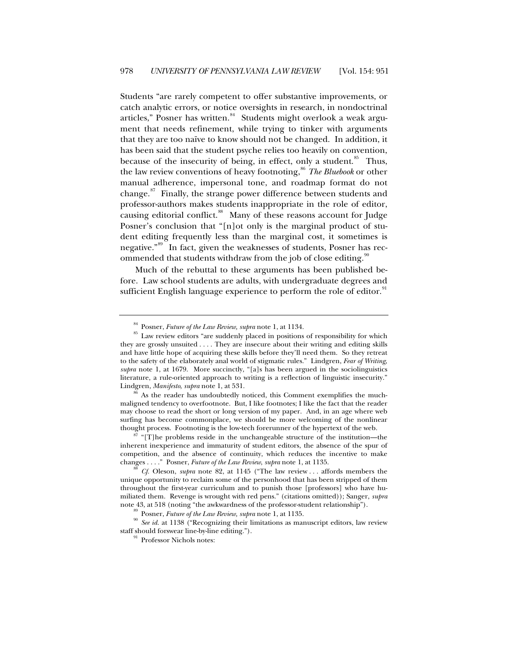Students "are rarely competent to offer substantive improvements, or catch analytic errors, or notice oversights in research, in nondoctrinal articles," Posner has written.<sup>[84](#page-27-0)</sup> Students might overlook a weak argument that needs refinement, while trying to tinker with arguments that they are too naïve to know should not be changed. In addition, it has been said that the student psyche relies too heavily on convention, because of the insecurity of being, in effect, only a student.<sup>[85](#page-27-1)</sup> Thus, the law review conventions of heavy footnoting,<sup>[86](#page-27-2)</sup> *The Bluebook* or other manual adherence, impersonal tone, and roadmap format do not change.<sup>[87](#page-27-3)</sup> Finally, the strange power difference between students and professor-authors makes students inappropriate in the role of editor, causing editorial conflict.<sup>[88](#page-27-4)</sup> Many of these reasons account for Judge Posner's conclusion that "[n]ot only is the marginal product of student editing frequently less than the marginal cost, it sometimes is negative."<sup>[89](#page-27-5)</sup> In fact, given the weaknesses of students, Posner has recommended that students withdraw from the job of close editing.

Much of the rebuttal to these arguments has been published before. Law school students are adults, with undergraduate degrees and sufficient English language experience to perform the role of editor.<sup>[91](#page-27-7)</sup>

<span id="page-27-1"></span><span id="page-27-0"></span><sup>&</sup>lt;sup>84</sup> Posner, *Future of the Law Review, supra* note 1, at 1134.<br><sup>85</sup> Law review editors "are suddenly placed in positions of responsibility for which they are grossly unsuited . . . . They are insecure about their writing and editing skills and have little hope of acquiring these skills before they'll need them. So they retreat to the safety of the elaborately anal world of stigmatic rules." Lindgren, *Fear of Writing*, *supra* note 1, at 1679. More succinctly, "[a]s has been argued in the sociolinguistics literature, a rule-oriented approach to writing is a reflection of linguistic insecurity." Lindgren, *Manifesto, supra* note 1, at 531.<br><sup>86</sup> As the reader has undoubtedly noticed, this Comment exemplifies the much-

<span id="page-27-2"></span>maligned tendency to overfootnote. But, I like footnotes; I like the fact that the reader may choose to read the short or long version of my paper. And, in an age where web surfing has become commonplace, we should be more welcoming of the nonlinear

<span id="page-27-3"></span>thought process. Footnoting is the low-tech forerunner of the hypertext of the web.<br><sup>87</sup> "[T]he problems reside in the unchangeable structure of the institution—the inherent inexperience and immaturity of student editors, the absence of the spur of competition, and the absence of continuity, which reduces the incentive to make changes ...." Posner, Future of the Law Review, supra note 1, at 1135.

<span id="page-27-4"></span>Cf. Oleson, *supra* note 82, at 1145 ("The law review . . . affords members the unique opportunity to reclaim some of the personhood that has been stripped of them throughout the first-year curriculum and to punish those [professors] who have humiliated them. Revenge is wrought with red pens." (citations omitted)); Sanger, *supra*

<span id="page-27-7"></span><span id="page-27-6"></span><span id="page-27-5"></span><sup>&</sup>lt;sup>89</sup> Posner, *Future of the Law Review*, *supra* note 1, at 1135.<br><sup>90</sup> See id. at 1138 ("Recognizing their limitations as manuscript editors, law review staff should forswear line-by-line editing.").<br> $\frac{91}{2}$  Professor Nichols notes: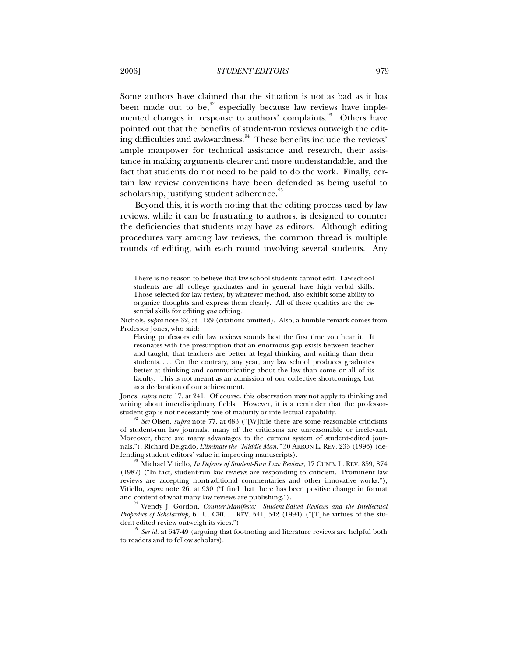Some authors have claimed that the situation is not as bad as it has been made out to be, $92$  especially because law reviews have imple-mented changes in response to authors' complaints.<sup>[93](#page-28-1)</sup> Others have pointed out that the benefits of student-run reviews outweigh the edit-ing difficulties and awkwardness.<sup>[94](#page-28-2)</sup> These benefits include the reviews' ample manpower for technical assistance and research, their assistance in making arguments clearer and more understandable, and the fact that students do not need to be paid to do the work. Finally, certain law review conventions have been defended as being useful to scholarship, justifying student adherence.<sup>[95](#page-28-3)</sup>

Beyond this, it is worth noting that the editing process used by law reviews, while it can be frustrating to authors, is designed to counter the deficiencies that students may have as editors. Although editing procedures vary among law reviews, the common thread is multiple rounds of editing, with each round involving several students. Any

Having professors edit law reviews sounds best the first time you hear it. It resonates with the presumption that an enormous gap exists between teacher and taught, that teachers are better at legal thinking and writing than their students. . . . On the contrary, any year, any law school produces graduates better at thinking and communicating about the law than some or all of its faculty. This is not meant as an admission of our collective shortcomings, but as a declaration of our achievement.

Jones, *supra* note 17, at 241. Of course, this observation may not apply to thinking and writing about interdisciplinary fields. However, it is a reminder that the professorstudent gap is not necessarily one of maturity or intellectual capability.

<span id="page-28-0"></span><sup>92</sup> *See* Olsen, *supra* note 77, at 683 ("[W]hile there are some reasonable criticisms of student-run law journals, many of the criticisms are unreasonable or irrelevant. Moreover, there are many advantages to the current system of student-edited journals."); Richard Delgado, *Eliminate the "Middle Man*,*"* 30 AKRON L. REV. 233 (1996) (defending student editors' value in improving manuscripts).

<span id="page-28-1"></span><sup>93</sup> Michael Vitiello, *In Defense of Student-Run Law Reviews*, 17 CUMB. L. REV. 859, 874 (1987) ("In fact, student-run law reviews are responding to criticism. Prominent law reviews are accepting nontraditional commentaries and other innovative works."); Vitiello, *supra* note 26, at 930 ("I find that there has been positive change in format and content of what many law reviews are publishing.").

<span id="page-28-2"></span><sup>94</sup> Wendy J. Gordon, *Counter-Manifesto: Student-Edited Reviews and the Intellectual Properties of Scholarship*, 61 U. CHI. L. REV. 541, 542 (1994) ("[T]he virtues of the student-edited review outweigh its vices.").

<span id="page-28-3"></span><sup>95</sup> *See id.* at 547-49 (arguing that footnoting and literature reviews are helpful both to readers and to fellow scholars).

There is no reason to believe that law school students cannot edit. Law school students are all college graduates and in general have high verbal skills. Those selected for law review, by whatever method, also exhibit some ability to organize thoughts and express them clearly. All of these qualities are the essential skills for editing *qua* editing.

Nichols, *supra* note 32, at 1129 (citations omitted). Also, a humble remark comes from Professor Jones, who said: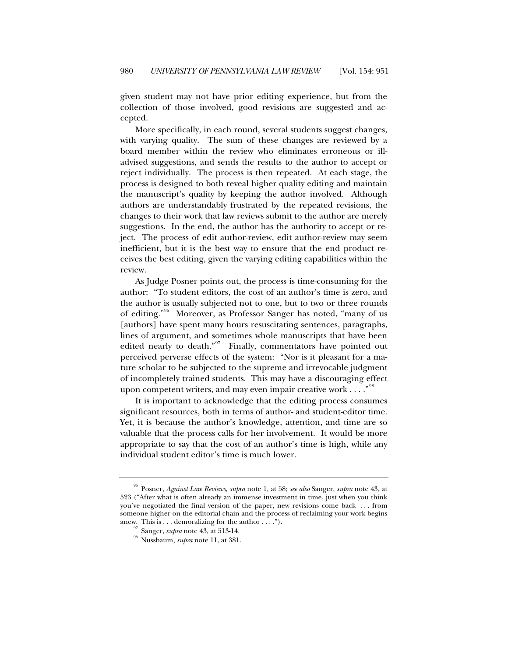given student may not have prior editing experience, but from the collection of those involved, good revisions are suggested and accepted.

More specifically, in each round, several students suggest changes, with varying quality. The sum of these changes are reviewed by a board member within the review who eliminates erroneous or illadvised suggestions, and sends the results to the author to accept or reject individually. The process is then repeated. At each stage, the process is designed to both reveal higher quality editing and maintain the manuscript's quality by keeping the author involved. Although authors are understandably frustrated by the repeated revisions, the changes to their work that law reviews submit to the author are merely suggestions. In the end, the author has the authority to accept or reject. The process of edit author-review, edit author-review may seem inefficient, but it is the best way to ensure that the end product receives the best editing, given the varying editing capabilities within the review.

As Judge Posner points out, the process is time-consuming for the author: "To student editors, the cost of an author's time is zero, and the author is usually subjected not to one, but to two or three rounds of editing."[96](#page-29-0) Moreover, as Professor Sanger has noted, "many of us [authors] have spent many hours resuscitating sentences, paragraphs, lines of argument, and sometimes whole manuscripts that have been edited nearly to death."<sup>[97](#page-29-1)</sup> Finally, commentators have pointed out perceived perverse effects of the system: "Nor is it pleasant for a mature scholar to be subjected to the supreme and irrevocable judgment of incompletely trained students. This may have a discouraging effect upon competent writers, and may even impair creative work . . . . "<sup>[98](#page-29-2)</sup>

It is important to acknowledge that the editing process consumes significant resources, both in terms of author- and student-editor time. Yet, it is because the author's knowledge, attention, and time are so valuable that the process calls for her involvement. It would be more appropriate to say that the cost of an author's time is high, while any individual student editor's time is much lower.

<span id="page-29-2"></span><span id="page-29-1"></span><span id="page-29-0"></span><sup>96</sup> Posner, *Against Law Reviews*, *supra* note 1, at 58; *see also* Sanger, *supra* note 43, at 523 ("After what is often already an immense investment in time, just when you think you've negotiated the final version of the paper, new revisions come back . . . from someone higher on the editorial chain and the process of reclaiming your work begins anew. This is . . . demoralizing for the author . . . .").<br><sup>97</sup> Sanger, *supra* note 43, at 513-14.<br><sup>98</sup> Nussbaum, *supra* note 11, at 381.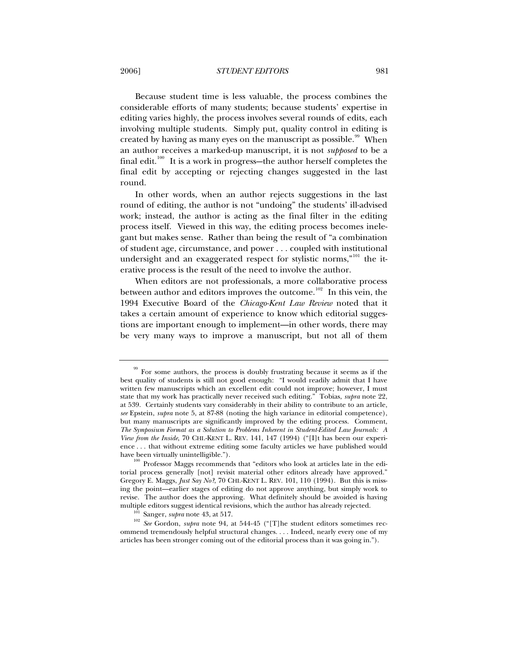Because student time is less valuable, the process combines the considerable efforts of many students; because students' expertise in editing varies highly, the process involves several rounds of edits, each involving multiple students. Simply put, quality control in editing is created by having as many eyes on the manuscript as possible.<sup>[99](#page-30-0)</sup> When an author receives a marked-up manuscript, it is not *supposed* to be a final edit.<sup>[100](#page-30-1)</sup> It is a work in progress—the author herself completes the final edit by accepting or rejecting changes suggested in the last round.

In other words, when an author rejects suggestions in the last round of editing, the author is not "undoing" the students' ill-advised work; instead, the author is acting as the final filter in the editing process itself. Viewed in this way, the editing process becomes inelegant but makes sense. Rather than being the result of "a combination of student age, circumstance, and power . . . coupled with institutional undersight and an exaggerated respect for stylistic norms,"<sup>[101](#page-30-2)</sup> the iterative process is the result of the need to involve the author.

When editors are not professionals, a more collaborative process between author and editors improves the outcome.<sup>[102](#page-30-3)</sup> In this vein, the 1994 Executive Board of the *Chicago-Kent Law Review* noted that it takes a certain amount of experience to know which editorial suggestions are important enough to implement—in other words, there may be very many ways to improve a manuscript, but not all of them

<span id="page-30-0"></span><sup>&</sup>lt;sup>99</sup> For some authors, the process is doubly frustrating because it seems as if the best quality of students is still not good enough: "I would readily admit that I have written few manuscripts which an excellent edit could not improve; however, I must state that my work has practically never received such editing." Tobias, *supra* note 22, at 539. Certainly students vary considerably in their ability to contribute to an article, *see* Epstein, *supra* note 5, at 87-88 (noting the high variance in editorial competence), but many manuscripts are significantly improved by the editing process. Comment, *The Symposium Format as a Solution to Problems Inherent in Student-Edited Law Journals: A View from the Inside*, 70 CHI.-KENT L. REV. 141, 147 (1994) ("[I]t has been our experience . . . that without extreme editing some faculty articles we have published would have been virtually unintelligible.").

<span id="page-30-1"></span><sup>&</sup>lt;sup>100</sup> Professor Maggs recommends that "editors who look at articles late in the editorial process generally [not] revisit material other editors already have approved." Gregory E. Maggs, *Just Say No?*, 70 CHI.-KENT L. REV. 101, 110 (1994). But this is missing the point—earlier stages of editing do not approve anything, but simply work to revise. The author does the approving. What definitely should be avoided is having multiple editors suggest identical revisions, which the author has already rejected.  $^{101}$  Sanger, *supra* note 43, at 517.

<span id="page-30-3"></span><span id="page-30-2"></span><sup>&</sup>lt;sup>102</sup> See Gordon, *supra* note 94, at 544-45 ("[T]he student editors sometimes recommend tremendously helpful structural changes. . . . Indeed, nearly every one of my articles has been stronger coming out of the editorial process than it was going in.").